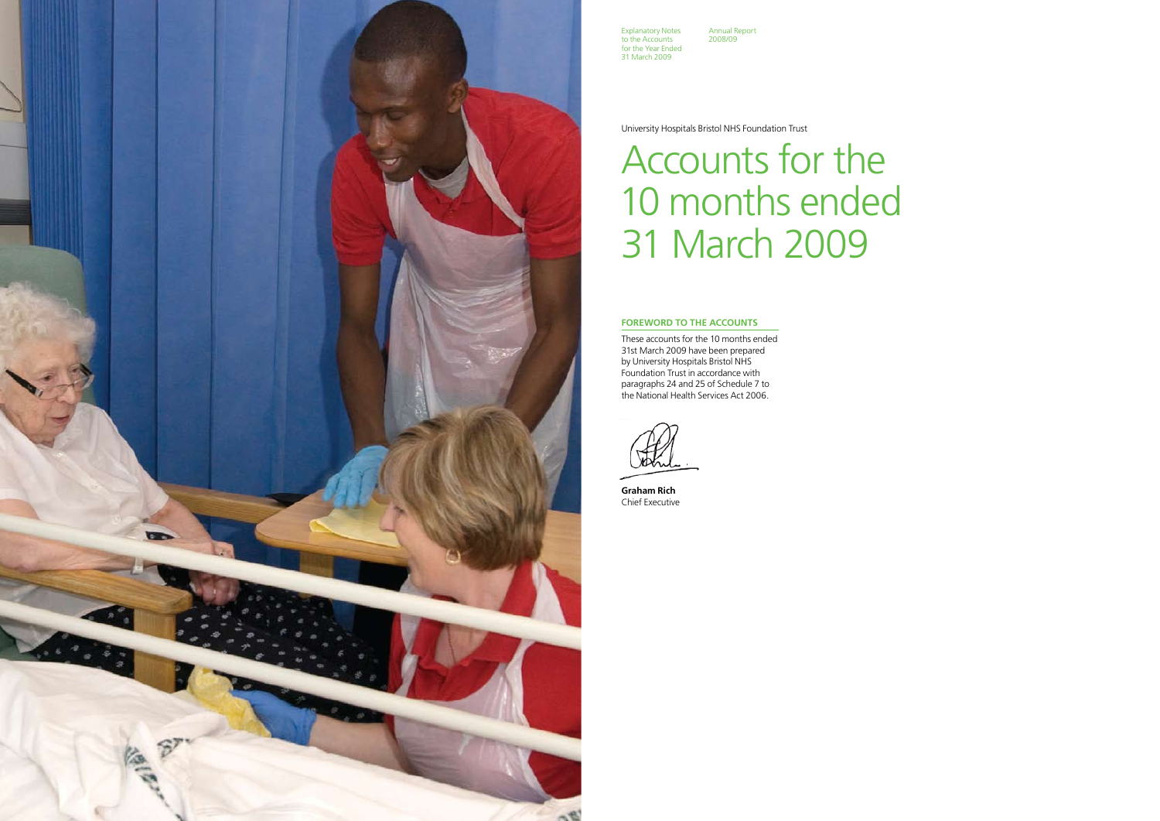#### **FOREWORD TO THE ACCOUNTS**

These accounts for the 10 months ended 31st March 2009 have been prepared by University Hospitals Bristol NHS Foundation Trust in accordance with paragraphs 24 and 25 of Schedule 7 to the National Health Services Act 2006.

**Graham Rich** Chief Executive

University Hospitals Bristol NHS Foundation Trust

# Accounts for the 10 months ended 31 March 2009



Explanatory Notes to the Accounts for the Year Ended 31 March 2009

Annual Report 2008/09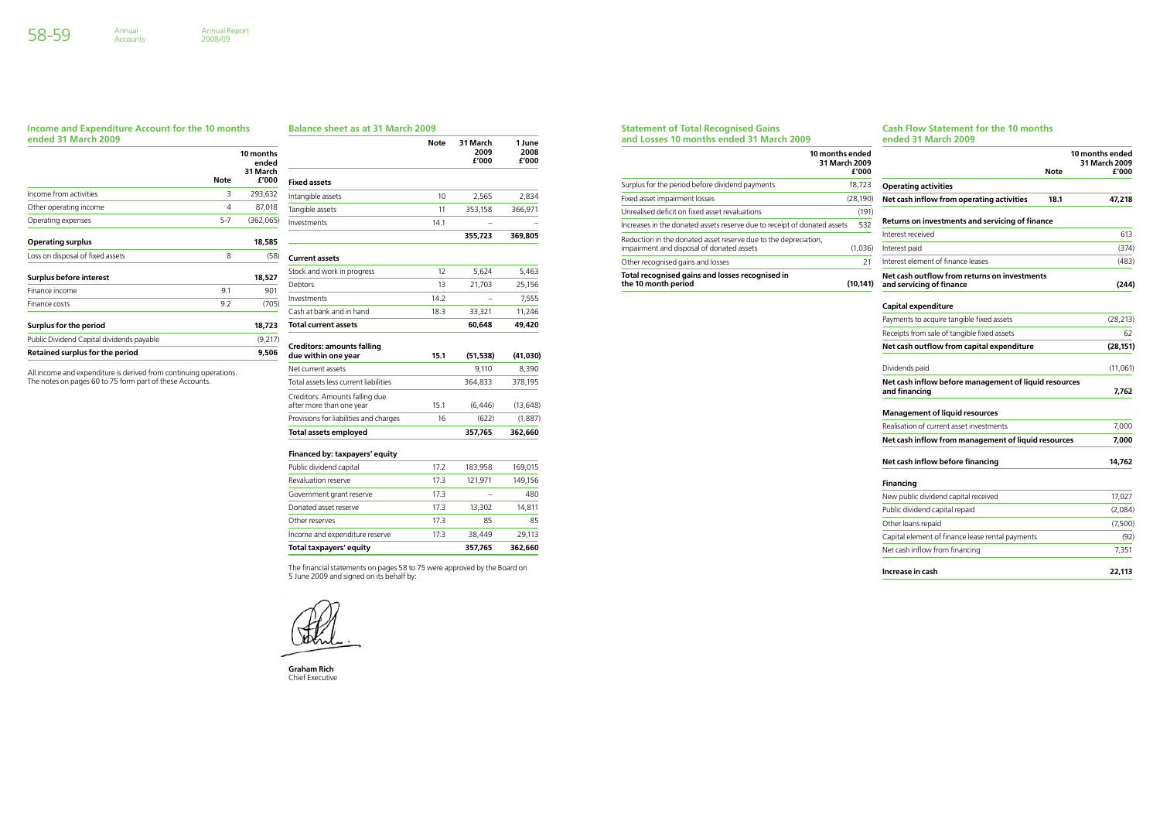#### **Statement of Total Recognised Gains and Losses 10 months ended 31 March 2009**

#### **Cash Flow Statement for the 10 months ended 31 March 2009**

| 10 months ended<br>31 March 2009                                                                             | £'000     |                                                                          | <b>Note</b> | 10 months ended<br>31 March 2009<br>£'000 |
|--------------------------------------------------------------------------------------------------------------|-----------|--------------------------------------------------------------------------|-------------|-------------------------------------------|
| Surplus for the period before dividend payments                                                              | 18,723    | <b>Operating activities</b>                                              |             |                                           |
| Fixed asset impairment losses                                                                                | (28, 190) | Net cash inflow from operating activities                                | 18.1        | 47,218                                    |
| Unrealised deficit on fixed asset revaluations                                                               | (191)     |                                                                          |             |                                           |
| Increases in the donated assets reserve due to receipt of donated assets                                     | 532       | Returns on investments and servicing of finance                          |             |                                           |
| Reduction in the donated asset reserve due to the depreciation,<br>impairment and disposal of donated assets | (1,036)   | Interest received<br>Interest paid                                       |             | 613<br>(374)                              |
| Other recognised gains and losses                                                                            | 21        | Interest element of finance leases                                       |             | (483)                                     |
| Total recognised gains and losses recognised in<br>the 10 month period                                       | (10, 141) | Net cash outflow from returns on investments<br>and servicing of finance |             | (244)                                     |
|                                                                                                              |           | <b>Capital expenditure</b>                                               |             |                                           |
|                                                                                                              |           | Payments to acquire tangible fixed assets                                |             | (28, 213)                                 |
|                                                                                                              |           | Receipts from sale of tangible fixed assets                              |             | 62                                        |
|                                                                                                              |           | Net cash outflow from capital expenditure                                |             | (28, 151)                                 |
|                                                                                                              |           | Dividends paid                                                           |             | (11,061)                                  |
|                                                                                                              |           | Net cash inflow before management of liquid resources<br>and financing   |             | 7,762                                     |
|                                                                                                              |           | <b>Management of liquid resources</b>                                    |             |                                           |
|                                                                                                              |           | Realisation of current asset investments                                 |             | 7,000                                     |
|                                                                                                              |           | Net cash inflow from management of liquid resources                      |             | 7.000                                     |
|                                                                                                              |           | Net cash inflow before financing                                         |             | 14,762                                    |
|                                                                                                              |           | <b>Financing</b>                                                         |             |                                           |
|                                                                                                              |           | New public dividend capital received                                     |             | 17,027                                    |
|                                                                                                              |           | Public dividend capital repaid                                           |             | (2,084)                                   |
|                                                                                                              |           | Other loans repaid                                                       |             | (7,500)                                   |
|                                                                                                              |           | Capital element of finance lease rental payments                         |             | (92)                                      |
|                                                                                                              |           | Net cash inflow from financing                                           |             | 7,351                                     |
|                                                                                                              |           | Increase in cash                                                         |             | 22.113                                    |

#### **Income and Expenditure Account for the 10 months ended 31 March 2009**

Annual<br>Accounts

|                                           |             | 10 months<br>ended<br>31 March |
|-------------------------------------------|-------------|--------------------------------|
|                                           | <b>Note</b> | £'000                          |
| Income from activities                    | 3           | 293,632                        |
| Other operating income                    | 4           | 87,018                         |
| Operating expenses                        | $5 - 7$     | (362,065)                      |
| <b>Operating surplus</b>                  |             | 18,585                         |
| Loss on disposal of fixed assets          | 8           | (58)                           |
| Surplus before interest                   |             | 18,527                         |
| Finance income                            | 9.1         | 901                            |
| Finance costs                             | 9.2         | (705)                          |
| Surplus for the period                    |             | 18,723                         |
| Public Dividend Capital dividends payable |             | (9,217)                        |
| <b>Retained surplus for the period</b>    |             | 9,506                          |

All income and expenditure is derived from continuing operations. The notes on pages 60 to 75 form part of these Accounts.

#### **Balance sheet as at 31 March 2009**

|                                                            | <b>Note</b> | 31 March<br>2009<br>£'000 | 1 June<br>2008<br>£'000 |
|------------------------------------------------------------|-------------|---------------------------|-------------------------|
| <b>Fixed assets</b>                                        |             |                           |                         |
| Intangible assets                                          | 10          | 2,565                     | 2,834                   |
| Tangible assets                                            | 11          | 353,158                   | 366,971                 |
| Investments                                                | 14.1        |                           |                         |
|                                                            |             | 355,723                   | 369,805                 |
| <b>Current assets</b>                                      |             |                           |                         |
| Stock and work in progress                                 | 12          | 5,624                     | 5,463                   |
| Debtors                                                    | 13          | 21,703                    | 25,156                  |
| Investments                                                | 14.2        |                           | 7,555                   |
| Cash at bank and in hand                                   | 18.3        | 33,321                    | 11,246                  |
| <b>Total current assets</b>                                |             | 60,648                    | 49,420                  |
| <b>Creditors: amounts falling</b><br>due within one year   | 15.1        | (51, 538)                 | (41,030)                |
| Net current assets                                         |             | 9,110                     | 8,390                   |
| Total assets less current liabilities                      |             | 364,833                   | 378,195                 |
| Creditors: Amounts falling due<br>after more than one year | 15.1        | (6, 446)                  | (13, 648)               |
| Provisions for liabilities and charges                     | 16          | (622)                     | (1,887)                 |
| <b>Total assets employed</b>                               |             | 357,765                   | 362,660                 |
| Financed by: taxpayers' equity                             |             |                           |                         |
| Public dividend capital                                    | 17.2        | 183,958                   | 169,015                 |
| Revaluation reserve                                        | 17.3        | 121,971                   | 149,156                 |
| Government grant reserve                                   | 17.3        |                           | 480                     |
| Donated asset reserve                                      | 17.3        | 13,302                    | 14,811                  |
| Other reserves                                             | 17.3        | 85                        | 85                      |
| Income and expenditure reserve                             | 17.3        | 38,449                    | 29,113                  |

**Total taxpayers' equity 357,765 362,660**

The financial statements on pages 58 to 75 were approved by the Board on 5 June 2009 and signed on its behalf by:

**Graham Rich** Chief Executive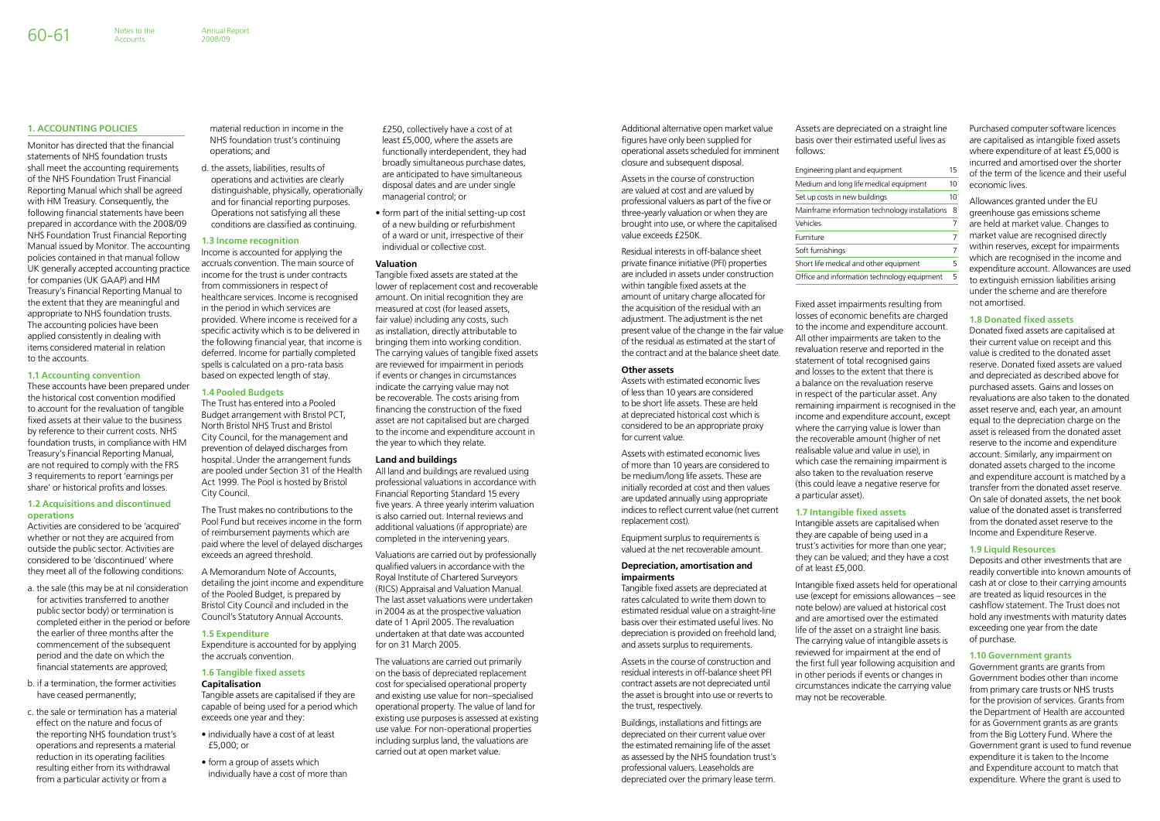Additional alternative open market value figures have only been supplied for operational assets scheduled for imminent closure and subsequent disposal.

Assets in the course of construction are valued at cost and are valued by professional valuers as part of the five or three-yearly valuation or when they are brought into use, or where the capitalised value exceeds £250K.

Residual interests in off-balance sheet private finance initiative (PFI) properties are included in assets under construction within tangible fixed assets at the amount of unitary charge allocated for the acquisition of the residual with an adjustment. The adjustment is the net present value of the change in the fair value of the residual as estimated at the start of the contract and at the balance sheet date.

Tangible fixed assets are depreciated at rates calculated to write them down to estimated residual value on a straight-line basis over their estimated useful lives. No depreciation is provided on freehold land, and assets surplus to requirements.

#### **Other assets**

Assets with estimated economic lives of less than 10 years are considered to be short life assets. These are held at depreciated historical cost which is considered to be an appropriate proxy for current value.

Assets with estimated economic lives of more than 10 years are considered to be medium/long life assets. These are initially recorded at cost and then values are updated annually using appropriate indices to reflect current value (net current replacement cost).

Equipment surplus to requirements is valued at the net recoverable amount.

#### **Depreciation, amortisation and impairments**

Assets in the course of construction and residual interests in off-balance sheet PFI contract assets are not depreciated until the asset is brought into use or reverts to the trust, respectively.

Buildings, installations and fittings are depreciated on their current value over the estimated remaining life of the asset as assessed by the NHS foundation trust's professional valuers. Leaseholds are depreciated over the primary lease term.

Assets are depreciated on a straight line basis over their estimated useful lives as follows:

| Engineering plant and equipment                | 15 |
|------------------------------------------------|----|
| Medium and long life medical equipment         | 10 |
| Set up costs in new buildings                  | 10 |
| Mainframe information technology installations | 8  |
| Vehicles                                       |    |
| Furniture                                      | 7  |
| Soft furnishings                               | 7  |
| Short life medical and other equipment         | 5  |
| Office and information technology equipment    | 5  |

Fixed asset impairments resulting from losses of economic benefits are charged to the income and expenditure account. All other impairments are taken to the revaluation reserve and reported in the statement of total recognised gains and losses to the extent that there is a balance on the revaluation reserve in respect of the particular asset. Any remaining impairment is recognised in the income and expenditure account, except where the carrying value is lower than the recoverable amount (higher of net realisable value and value in use), in which case the remaining impairment is also taken to the revaluation reserve (this could leave a negative reserve for a particular asset).

# **1.7 Intangible fixed assets**

Intangible assets are capitalised when they are capable of being used in a trust's activities for more than one year; they can be valued; and they have a cost of at least £5,000.

Intangible fixed assets held for operational use (except for emissions allowances – see note below) are valued at historical cost and are amortised over the estimated life of the asset on a straight line basis. The carrying value of intangible assets is reviewed for impairment at the end of the first full year following acquisition and in other periods if events or changes in circumstances indicate the carrying value may not be recoverable.

Purchased computer software licences are capitalised as intangible fixed assets where expenditure of at least £5,000 is incurred and amortised over the shorter of the term of the licence and their useful economic lives.

Allowances granted under the EU greenhouse gas emissions scheme are held at market value. Changes to market value are recognised directly within reserves, except for impairments which are recognised in the income and expenditure account. Allowances are used to extinguish emission liabilities arising under the scheme and are therefore not amortised.

#### **1.8 Donated fixed assets**

Donated fixed assets are capitalised at their current value on receipt and this value is credited to the donated asset reserve. Donated fixed assets are valued and depreciated as described above for purchased assets. Gains and losses on revaluations are also taken to the donated asset reserve and, each year, an amount equal to the depreciation charge on the asset is released from the donated asset reserve to the income and expenditure account. Similarly, any impairment on donated assets charged to the income and expenditure account is matched by a transfer from the donated asset reserve. On sale of donated assets, the net book value of the donated asset is transferred from the donated asset reserve to the Income and Expenditure Reserve.

#### **1.9 Liquid Resources**

Deposits and other investments that are readily convertible into known amounts of cash at or close to their carrying amounts are treated as liquid resources in the cashflow statement. The Trust does not hold any investments with maturity dates exceeding one year from the date of purchase.

#### **1.10 Government grants**

Government grants are grants from Government bodies other than income from primary care trusts or NHS trusts for the provision of services. Grants from the Department of Health are accounted for as Government grants as are grants from the Big Lottery Fund. Where the Government grant is used to fund revenue expenditure it is taken to the Income and Expenditure account to match that expenditure. Where the grant is used to

#### **1. Accounting policies**

Monitor has directed that the financial statements of NHS foundation trusts shall meet the accounting requirements of the NHS Foundation Trust Financial Reporting Manual which shall be agreed with HM Treasury. Consequently, the following financial statements have been prepared in accordance with the 2008/09 NHS Foundation Trust Financial Reporting Manual issued by Monitor. The accounting policies contained in that manual follow UK generally accepted accounting practice for companies (UK GAAP) and HM Treasury's Financial Reporting Manual to the extent that they are meaningful and appropriate to NHS foundation trusts. The accounting policies have been applied consistently in dealing with items considered material in relation to the accounts.

**Accounts** 

#### **1.1 Accounting convention**

These accounts have been prepared under the historical cost convention modified to account for the revaluation of tangible fixed assets at their value to the business by reference to their current costs. NHS foundation trusts, in compliance with HM Treasury's Financial Reporting Manual, are not required to comply with the FRS 3 requirements to report 'earnings per share' or historical profits and losses.

#### **1.2 Acquisitions and discontinued operations**

Activities are considered to be 'acquired' whether or not they are acquired from outside the public sector. Activities are considered to be 'discontinued' where they meet all of the following conditions:

- a. the sale (this may be at nil consideration for activities transferred to another public sector body) or termination is completed either in the period or before the earlier of three months after the commencement of the subsequent period and the date on which the financial statements are approved;
- b. if a termination, the former activities have ceased permanently;
- c. the sale or termination has a material effect on the nature and focus of the reporting NHS foundation trust's operations and represents a material reduction in its operating facilities resulting either from its withdrawal from a particular activity or from a

material reduction in income in the NHS foundation trust's continuing operations; and

d. the assets, liabilities, results of operations and activities are clearly distinguishable, physically, operationally and for financial reporting purposes. Operations not satisfying all these conditions are classified as continuing.

#### **1.3 Income recognition**

Income is accounted for applying the accruals convention. The main source of income for the trust is under contracts from commissioners in respect of healthcare services. Income is recognised in the period in which services are provided. Where income is received for a specific activity which is to be delivered in the following financial year, that income is deferred. Income for partially completed spells is calculated on a pro-rata basis based on expected length of stay.

#### **1.4 Pooled Budgets**

The Trust has entered into a Pooled Budget arrangement with Bristol PCT, North Bristol NHS Trust and Bristol City Council, for the management and prevention of delayed discharges from hospital. Under the arrangement funds are pooled under Section 31 of the Health Act 1999. The Pool is hosted by Bristol City Council.

The Trust makes no contributions to the Pool Fund but receives income in the form of reimbursement payments which are paid where the level of delayed discharges exceeds an agreed threshold.

A Memorandum Note of Accounts, detailing the joint income and expenditure of the Pooled Budget, is prepared by Bristol City Council and included in the Council's Statutory Annual Accounts.

#### **1.5 Expenditure**

Expenditure is accounted for by applying the accruals convention.

#### **1.6 Tangible fixed assets Capitalisation**

Tangible assets are capitalised if they are capable of being used for a period which exceeds one year and they:

- individually have a cost of at least £5,000; or
- form a group of assets which individually have a cost of more than

£250, collectively have a cost of at least £5,000, where the assets are functionally interdependent, they had broadly simultaneous purchase dates, are anticipated to have simultaneous disposal dates and are under single managerial control; or

• form part of the initial setting-up cost of a new building or refurbishment of a ward or unit, irrespective of their individual or collective cost.

#### **Valuation**

Tangible fixed assets are stated at the lower of replacement cost and recoverable amount. On initial recognition they are measured at cost (for leased assets, fair value) including any costs, such as installation, directly attributable to bringing them into working condition. The carrying values of tangible fixed assets are reviewed for impairment in periods if events or changes in circumstances indicate the carrying value may not be recoverable. The costs arising from financing the construction of the fixed asset are not capitalised but are charged to the income and expenditure account in the year to which they relate.

#### **Land and buildings**

All land and buildings are revalued using professional valuations in accordance with Financial Reporting Standard 15 every five years. A three yearly interim valuation is also carried out. Internal reviews and additional valuations (if appropriate) are completed in the intervening years.

Valuations are carried out by professionally qualified valuers in accordance with the Royal Institute of Chartered Surveyors (RICS) Appraisal and Valuation Manual. The last asset valuations were undertaken in 2004 as at the prospective valuation date of 1 April 2005. The revaluation undertaken at that date was accounted for on 31 March 2005.

The valuations are carried out primarily on the basis of depreciated replacement cost for specialised operational property and existing use value for non–specialised operational property. The value of land for existing use purposes is assessed at existing use value. For non-operational properties including surplus land, the valuations are carried out at open market value.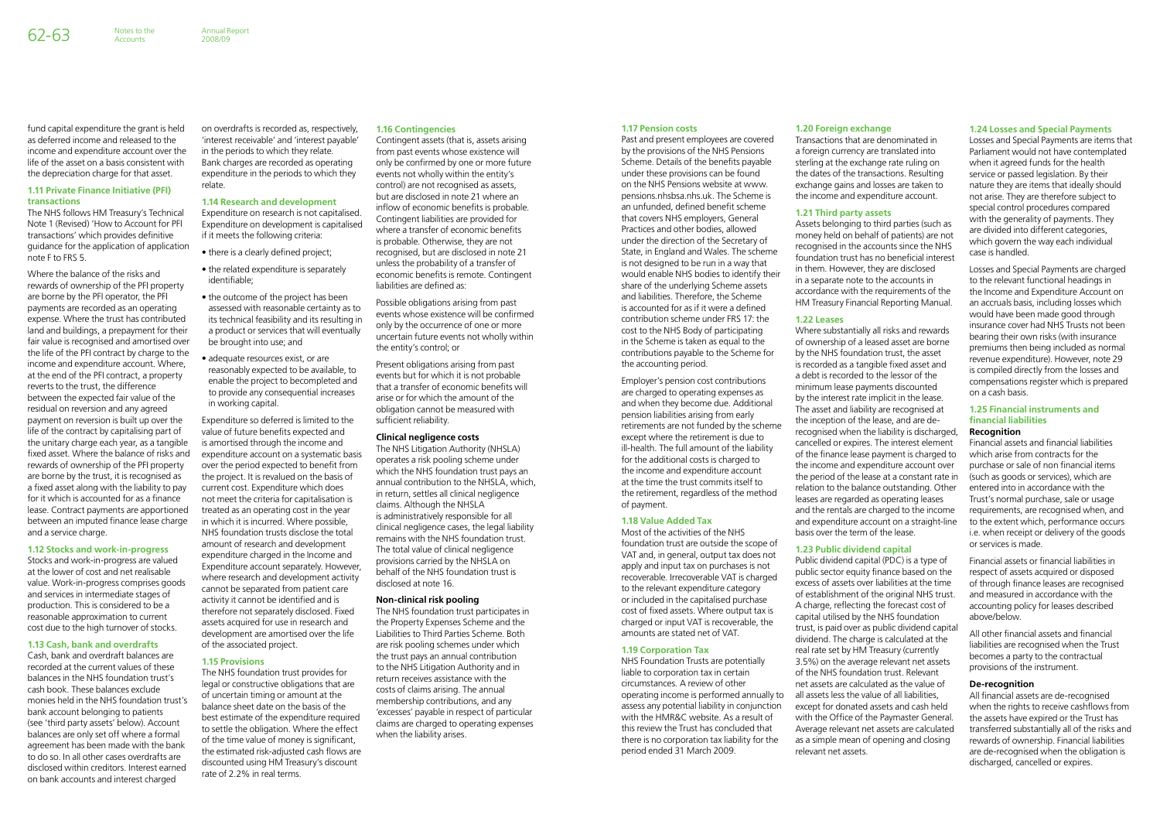#### **1.17 Pension costs**

Past and present employees are covered by the provisions of the NHS Pensions Scheme. Details of the benefits payable under these provisions can be found on the NHS Pensions website at www. pensions.nhsbsa.nhs.uk. The Scheme is an unfunded, defined benefit scheme that covers NHS employers, General Practices and other bodies, allowed under the direction of the Secretary of State, in England and Wales. The scheme is not designed to be run in a way that would enable NHS bodies to identify their share of the underlying Scheme assets and liabilities. Therefore, the Scheme is accounted for as if it were a defined contribution scheme under FRS 17: the cost to the NHS Body of participating in the Scheme is taken as equal to the contributions payable to the Scheme for the accounting period.

Employer's pension cost contributions are charged to operating expenses as and when they become due. Additional pension liabilities arising from early retirements are not funded by the scheme except where the retirement is due to ill-health. The full amount of the liability for the additional costs is charged to the income and expenditure account at the time the trust commits itself to the retirement, regardless of the method of payment.

#### **1.18 Value Added Tax**

Most of the activities of the NHS foundation trust are outside the scope of VAT and, in general, output tax does not apply and input tax on purchases is not recoverable. Irrecoverable VAT is charged to the relevant expenditure category or included in the capitalised purchase cost of fixed assets. Where output tax is charged or input VAT is recoverable, the amounts are stated net of VAT.

#### **1.19 Corporation Tax**

NHS Foundation Trusts are potentially liable to corporation tax in certain circumstances. A review of other operating income is performed annually to assess any potential liability in conjunction with the HMR&C website. As a result of this review the Trust has concluded that there is no corporation tax liability for the period ended 31 March 2009.

#### **1.20 Foreign exchange**

Transactions that are denominated in a foreign currency are translated into sterling at the exchange rate ruling on the dates of the transactions. Resulting exchange gains and losses are taken to the income and expenditure account.

### **1.21 Third party assets**

Assets belonging to third parties (such as money held on behalf of patients) are not recognised in the accounts since the NHS foundation trust has no beneficial interest in them. However, they are disclosed in a separate note to the accounts in accordance with the requirements of the HM Treasury Financial Reporting Manual.

#### **1.22 Leases**

Where substantially all risks and rewards of ownership of a leased asset are borne by the NHS foundation trust, the asset is recorded as a tangible fixed asset and a debt is recorded to the lessor of the minimum lease payments discounted by the interest rate implicit in the lease. The asset and liability are recognised at the inception of the lease, and are derecognised when the liability is discharged, cancelled or expires. The interest element of the finance lease payment is charged to the income and expenditure account over the period of the lease at a constant rate in relation to the balance outstanding. Other leases are regarded as operating leases and the rentals are charged to the income and expenditure account on a straight-line basis over the term of the lease.

### **1.23 Public dividend capital**

Public dividend capital (PDC) is a type of public sector equity finance based on the excess of assets over liabilities at the time of establishment of the original NHS trust. A charge, reflecting the forecast cost of capital utilised by the NHS foundation trust, is paid over as public dividend capital dividend. The charge is calculated at the real rate set by HM Treasury (currently 3.5%) on the average relevant net assets of the NHS foundation trust. Relevant net assets are calculated as the value of all assets less the value of all liabilities, except for donated assets and cash held with the Office of the Paymaster General. Average relevant net assets are calculated as a simple mean of opening and closing relevant net assets.

#### **1.24 Losses and Special Payments**

Losses and Special Payments are items that Parliament would not have contemplated when it agreed funds for the health service or passed legislation. By their nature they are items that ideally should not arise. They are therefore subject to special control procedures compared with the generality of payments. They are divided into different categories, which govern the way each individual case is handled.

Losses and Special Payments are charged to the relevant functional headings in the Income and Expenditure Account on an accruals basis, including losses which would have been made good through insurance cover had NHS Trusts not been bearing their own risks (with insurance premiums then being included as normal revenue expenditure). However, note 29 is compiled directly from the losses and compensations register which is prepared on a cash basis.

#### **1.25 Financial instruments and financial liabilities Recognition**

Financial assets and financial liabilities which arise from contracts for the purchase or sale of non financial items (such as goods or services), which are entered into in accordance with the Trust's normal purchase, sale or usage requirements, are recognised when, and to the extent which, performance occurs i.e. when receipt or delivery of the goods or services is made.

Financial assets or financial liabilities in respect of assets acquired or disposed of through finance leases are recognised and measured in accordance with the accounting policy for leases described above/below.

All other financial assets and financial liabilities are recognised when the Trust becomes a party to the contractual provisions of the instrument.

#### **De-recognition**

All financial assets are de-recognised when the rights to receive cashflows from the assets have expired or the Trust has transferred substantially all of the risks and rewards of ownership. Financial liabilities are de-recognised when the obligation is discharged, cancelled or expires.

fund capital expenditure the grant is held as deferred income and released to the income and expenditure account over the life of the asset on a basis consistent with the depreciation charge for that asset.

**Accounts** 

#### **1.11 Private Finance Initiative (PFI) transactions**

The NHS follows HM Treasury's Technical Note 1 (Revised) 'How to Account for PFI transactions' which provides definitive guidance for the application of application note F to FRS 5.

Where the balance of the risks and rewards of ownership of the PFI property are borne by the PFI operator, the PFI payments are recorded as an operating expense. Where the trust has contributed land and buildings, a prepayment for their fair value is recognised and amortised over the life of the PFI contract by charge to the income and expenditure account. Where, at the end of the PFI contract, a property reverts to the trust, the difference between the expected fair value of the residual on reversion and any agreed payment on reversion is built up over the life of the contract by capitalising part of the unitary charge each year, as a tangible fixed asset. Where the balance of risks and rewards of ownership of the PFI property are borne by the trust, it is recognised as a fixed asset along with the liability to pay for it which is accounted for as a finance lease. Contract payments are apportioned between an imputed finance lease charge and a service charge.

#### **1.12 Stocks and work-in-progress**

Stocks and work-in-progress are valued at the lower of cost and net realisable value. Work-in-progress comprises goods and services in intermediate stages of production. This is considered to be a reasonable approximation to current cost due to the high turnover of stocks.

#### **1.13 Cash, bank and overdrafts**

Cash, bank and overdraft balances are recorded at the current values of these balances in the NHS foundation trust's cash book. These balances exclude monies held in the NHS foundation trust's bank account belonging to patients (see 'third party assets' below). Account balances are only set off where a formal agreement has been made with the bank to do so. In all other cases overdrafts are disclosed within creditors. Interest earned on bank accounts and interest charged

on overdrafts is recorded as, respectively, 'interest receivable' and 'interest payable' in the periods to which they relate. Bank charges are recorded as operating expenditure in the periods to which they relate.

#### **1.14 Research and development**

Expenditure on research is not capitalised. Expenditure on development is capitalised if it meets the following criteria:

- there is a clearly defined project;
- the related expenditure is separately identifiable;
- the outcome of the project has been assessed with reasonable certainty as to its technical feasibility and its resulting in a product or services that will eventually be brought into use; and
- adequate resources exist, or are reasonably expected to be available, to enable the project to becompleted and to provide any consequential increases in working capital.

Expenditure so deferred is limited to the value of future benefits expected and is amortised through the income and expenditure account on a systematic basis over the period expected to benefit from the project. It is revalued on the basis of current cost. Expenditure which does not meet the criteria for capitalisation is treated as an operating cost in the year in which it is incurred. Where possible, NHS foundation trusts disclose the total amount of research and development expenditure charged in the Income and Expenditure account separately. However, where research and development activity cannot be separated from patient care activity it cannot be identified and is therefore not separately disclosed. Fixed assets acquired for use in research and development are amortised over the life of the associated project.

#### **1.15 Provisions**

The NHS foundation trust provides for legal or constructive obligations that are of uncertain timing or amount at the balance sheet date on the basis of the best estimate of the expenditure required to settle the obligation. Where the effect of the time value of money is significant, the estimated risk-adjusted cash flows are discounted using HM Treasury's discount rate of 2.2% in real terms.

#### **1.16 Contingencies**

Contingent assets (that is, assets arising from past events whose existence will only be confirmed by one or more future events not wholly within the entity's control) are not recognised as assets, but are disclosed in note 21 where an inflow of economic benefits is probable. Contingent liabilities are provided for where a transfer of economic benefits is probable. Otherwise, they are not recognised, but are disclosed in note 21 unless the probability of a transfer of economic benefits is remote. Contingent liabilities are defined as:

Possible obligations arising from past events whose existence will be confirmed only by the occurrence of one or more uncertain future events not wholly within the entity's control; or

Present obligations arising from past events but for which it is not probable that a transfer of economic benefits will arise or for which the amount of the obligation cannot be measured with sufficient reliability.

#### **Clinical negligence costs**

The NHS Litigation Authority (NHSLA) operates a risk pooling scheme under which the NHS foundation trust pays an annual contribution to the NHSLA, which, in return, settles all clinical negligence claims. Although the NHSLA is administratively responsible for all clinical negligence cases, the legal liability remains with the NHS foundation trust. The total value of clinical negligence provisions carried by the NHSLA on behalf of the NHS foundation trust is disclosed at note 16.

#### **Non-clinical risk pooling**

The NHS foundation trust participates in the Property Expenses Scheme and the Liabilities to Third Parties Scheme. Both are risk pooling schemes under which the trust pays an annual contribution to the NHS Litigation Authority and in return receives assistance with the costs of claims arising. The annual membership contributions, and any 'excesses' payable in respect of particular claims are charged to operating expenses when the liability arises.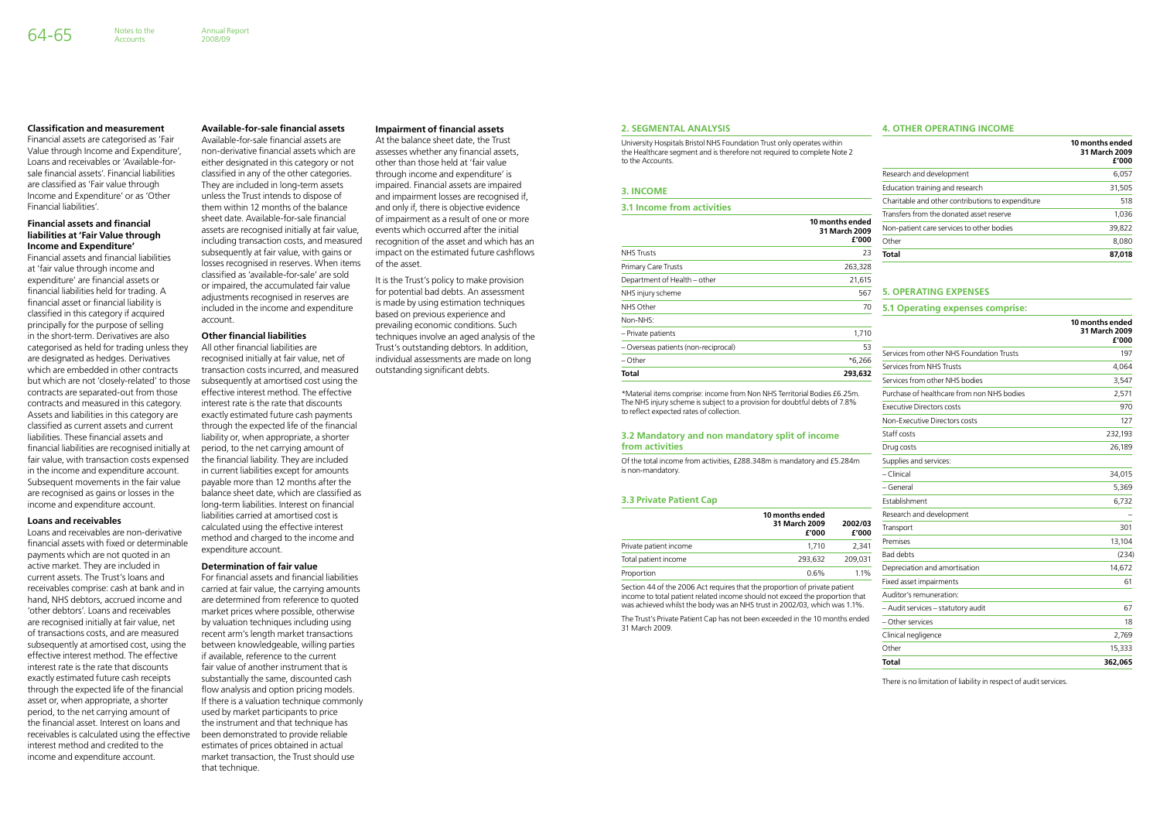#### **2. Segmental Analysis**

University Hospitals Bristol NHS Foundation Trust only operates within the Healthcare segment and is therefore not required to complete Note 2 to the Accounts.

#### **3. Income**

#### **3.1 Income from activities**

|                                      | 10 months ended<br>31 March 2009<br>£'000 |
|--------------------------------------|-------------------------------------------|
| <b>NHS Trusts</b>                    | 23                                        |
| <b>Primary Care Trusts</b>           | 263,328                                   |
| Department of Health – other         | 21,615                                    |
| NHS injury scheme                    | 567                                       |
| NHS Other                            | 70                                        |
| Non-NHS:                             |                                           |
| - Private patients                   | 1,710                                     |
| – Overseas patients (non-reciprocal) | 53                                        |
| – Other                              | $*6,266$                                  |
| Total                                | 293.632                                   |

# **from activities**

### **4. Other Operating Income**

| Non-NHS:                                                                                                                                               |                        |                  |                                            | 10 months ended        |
|--------------------------------------------------------------------------------------------------------------------------------------------------------|------------------------|------------------|--------------------------------------------|------------------------|
| - Private patients                                                                                                                                     |                        | 1,710            |                                            | 31 March 2009<br>f'000 |
| - Overseas patients (non-reciprocal)                                                                                                                   |                        | 53               | Services from other NHS Foundation Trusts  | 197                    |
| - Other                                                                                                                                                |                        | $*6,266$         |                                            |                        |
| <b>Total</b>                                                                                                                                           |                        | 293,632          | Services from NHS Trusts                   | 4,064                  |
|                                                                                                                                                        |                        |                  | Services from other NHS bodies             | 3,547                  |
| *Material items comprise: income from Non NHS Territorial Bodies £6.25m.<br>The NHS injury scheme is subject to a provision for doubtful debts of 7.8% |                        |                  | Purchase of healthcare from non NHS bodies | 2,571                  |
| to reflect expected rates of collection.                                                                                                               |                        |                  | <b>Executive Directors costs</b>           | 970                    |
|                                                                                                                                                        |                        |                  | Non-Executive Directors costs              | 127                    |
| 3.2 Mandatory and non mandatory split of income                                                                                                        |                        |                  | Staff costs                                | 232,193                |
| from activities                                                                                                                                        |                        |                  | Drug costs                                 | 26,189                 |
| Of the total income from activities, £288.348m is mandatory and £5.284m                                                                                |                        |                  | Supplies and services:                     |                        |
| is non-mandatory.                                                                                                                                      |                        | - Clinical       | 34,015                                     |                        |
|                                                                                                                                                        |                        |                  | - General                                  | 5,369                  |
| <b>3.3 Private Patient Cap</b>                                                                                                                         |                        |                  | Establishment                              | 6,732                  |
| 10 months ended                                                                                                                                        |                        |                  | Research and development                   |                        |
|                                                                                                                                                        | 31 March 2009<br>£'000 | 2002/03<br>£'000 | Transport                                  | 301                    |
| Private patient income                                                                                                                                 | 1,710                  | 2,341            | Premises                                   | 13,104                 |
| Total patient income                                                                                                                                   | 293,632                | 209,031          | <b>Bad debts</b>                           | (234)                  |
| Proportion                                                                                                                                             | 0.6%                   | 1.1%             | Depreciation and amortisation              | 14,672                 |
| Section 44 of the 2006 Act requires that the proportion of private patient                                                                             |                        |                  | Fixed asset impairments                    | 61                     |
| income to total patient related income should not exceed the proportion that                                                                           |                        |                  | Auditor's remuneration:                    |                        |
| was achieved whilst the body was an NHS trust in 2002/03, which was 1.1%.                                                                              |                        |                  | - Audit services - statutory audit         | 67                     |
| The Trust's Private Patient Cap has not been exceeded in the 10 months ended                                                                           |                        | - Other services | 18                                         |                        |
| 31 March 2009.                                                                                                                                         |                        |                  | Clinical negligence                        | 2,769                  |
|                                                                                                                                                        |                        |                  | Other                                      | 15,333                 |
|                                                                                                                                                        |                        |                  | <b>Total</b>                               | 362,065                |
|                                                                                                                                                        |                        |                  |                                            |                        |

|                                                   | 10 months ended<br>31 March 2009<br>£'000 |
|---------------------------------------------------|-------------------------------------------|
| Research and development                          | 6,057                                     |
| Education training and research                   | 31,505                                    |
| Charitable and other contributions to expenditure | 518                                       |
| Transfers from the donated asset reserve          | 1,036                                     |
| Non-patient care services to other bodies         | 39,822                                    |
| Other                                             | 8,080                                     |
| <b>Total</b>                                      | 87.018                                    |

### **5. Operating Expenses**

#### **5.1 Operating expenses comprise:**

There is no limitation of liability in respect of audit services.

#### **Classification and measurement**

Financial assets are categorised as 'Fair Value through Income and Expenditure', Loans and receivables or 'Available-forsale financial assets'. Financial liabilities are classified as 'Fair value through Income and Expenditure' or as 'Other Financial liabilities'.

Notes to the **Accounts** 

#### **Financial assets and financial liabilities at 'Fair Value through Income and Expenditure'**

Financial assets and financial liabilities at 'fair value through income and expenditure' are financial assets or financial liabilities held for trading. A financial asset or financial liability is classified in this category if acquired principally for the purpose of selling in the short-term. Derivatives are also categorised as held for trading unless they are designated as hedges. Derivatives which are embedded in other contracts but which are not 'closely-related' to those contracts are separated-out from those contracts and measured in this category. Assets and liabilities in this category are classified as current assets and current liabilities. These financial assets and financial liabilities are recognised initially at fair value, with transaction costs expensed in the income and expenditure account. Subsequent movements in the fair value are recognised as gains or losses in the income and expenditure account.

#### **Loans and receivables**

Loans and receivables are non-derivative financial assets with fixed or determinable payments which are not quoted in an active market. They are included in current assets. The Trust's loans and receivables comprise: cash at bank and in hand, NHS debtors, accrued income and 'other debtors'. Loans and receivables are recognised initially at fair value, net of transactions costs, and are measured subsequently at amortised cost, using the effective interest method. The effective interest rate is the rate that discounts exactly estimated future cash receipts through the expected life of the financial asset or, when appropriate, a shorter period, to the net carrying amount of the financial asset. Interest on loans and receivables is calculated using the effective interest method and credited to the income and expenditure account.

# **Available-for-sale financial assets**

Available-for-sale financial assets are non-derivative financial assets which are either designated in this category or not classified in any of the other categories. They are included in long-term assets unless the Trust intends to dispose of them within 12 months of the balance sheet date. Available-for-sale financial assets are recognised initially at fair value, including transaction costs, and measured subsequently at fair value, with gains or losses recognised in reserves. When items classified as 'available-for-sale' are sold or impaired, the accumulated fair value adjustments recognised in reserves are included in the income and expenditure account.

#### **Other financial liabilities**

All other financial liabilities are recognised initially at fair value, net of transaction costs incurred, and measured subsequently at amortised cost using the effective interest method. The effective interest rate is the rate that discounts exactly estimated future cash payments through the expected life of the financial liability or, when appropriate, a shorter period, to the net carrying amount of the financial liability. They are included in current liabilities except for amounts payable more than 12 months after the balance sheet date, which are classified as long-term liabilities. Interest on financial liabilities carried at amortised cost is calculated using the effective interest method and charged to the income and expenditure account.

#### **Determination of fair value**

For financial assets and financial liabilities carried at fair value, the carrying amounts are determined from reference to quoted market prices where possible, otherwise by valuation techniques including using recent arm's length market transactions between knowledgeable, willing parties if available, reference to the current fair value of another instrument that is substantially the same, discounted cash flow analysis and option pricing models. If there is a valuation technique commonly used by market participants to price the instrument and that technique has been demonstrated to provide reliable estimates of prices obtained in actual market transaction, the Trust should use that technique.

#### **Impairment of financial assets**

At the balance sheet date, the Trust assesses whether any financial assets, other than those held at 'fair value through income and expenditure' is impaired. Financial assets are impaired and impairment losses are recognised if, and only if, there is objective evidence of impairment as a result of one or more events which occurred after the initial recognition of the asset and which has an impact on the estimated future cashflows of the asset.

It is the Trust's policy to make provision for potential bad debts. An assessment is made by using estimation techniques based on previous experience and prevailing economic conditions. Such techniques involve an aged analysis of the Trust's outstanding debtors. In addition, individual assessments are made on long outstanding significant debts.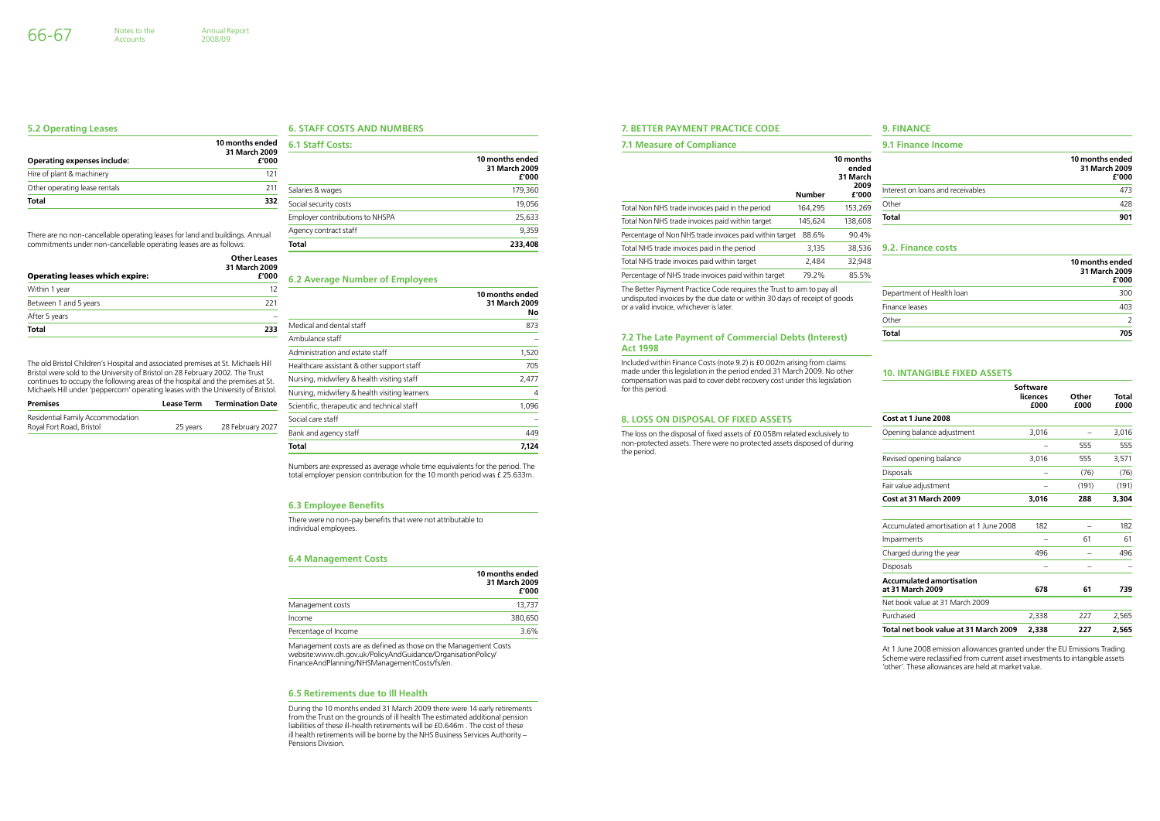#### **7. Better Payment Practice Code**

#### **7.1 Measure of Compliance**

Included within Finance Costs (note 9.2) is £0.002m arising from claims made under this legislation in the period ended 31 March 2009. No other compensation was paid to cover debt recovery cost under this legislation for this period.

The Better Payment Practice Code requires the Trust to aim to pay all undisputed invoices by the due date or within 30 days of receipt of goods or a valid invoice, whichever is later.

#### **7.2 The Late Payment of Commercial Debts (Interest) Act 1998**

#### **8. Loss on Disposal of Fixed Assets**

The loss on the disposal of fixed assets of £0.058m related exclusively to non-protected assets. There were no protected assets disposed of during the period.

| <b>7.1 Measure of Compliance</b>                        |               | 9.1 Finance Income             |                                   |                                           |
|---------------------------------------------------------|---------------|--------------------------------|-----------------------------------|-------------------------------------------|
|                                                         |               | 10 months<br>ended<br>31 March |                                   | 10 months ended<br>31 March 2009<br>£'000 |
|                                                         | <b>Number</b> | 2009<br>£'000                  | Interest on loans and receivables | 473                                       |
| Total Non NHS trade invoices paid in the period         | 164.295       | 153,269                        | Other                             | 428                                       |
| Total Non NHS trade invoices paid within target         | 145.624       | 138,608                        | Total                             | 901                                       |
| Percentage of Non NHS trade invoices paid within target | 88.6%         | 90.4%                          |                                   |                                           |
| Total NHS trade invoices paid in the period             | 3,135         | 38.536                         | 9.2. Finance costs                |                                           |
| Total NHS trade invoices paid within target             | 2,484         | 32,948                         |                                   | 10 months ended                           |
| Percentage of NHS trade invoices paid within target     | 79.2%         | 85.5%                          |                                   | 31 March 2009<br>f'nnn                    |

### **10. Intangible Fixed Assets**

|                                                     | Software<br>licences<br>£000 | Other<br>£000 | Total<br>£000 |
|-----------------------------------------------------|------------------------------|---------------|---------------|
| Cost at 1 June 2008                                 |                              |               |               |
| Opening balance adjustment                          | 3,016                        |               | 3,016         |
|                                                     |                              | 555           | 555           |
| Revised opening balance                             | 3,016                        | 555           | 3,571         |
| <b>Disposals</b>                                    |                              | (76)          | (76)          |
| Fair value adjustment                               |                              | (191)         | (191)         |
| Cost at 31 March 2009                               | 3,016                        | 288           | 3,304         |
| Accumulated amortisation at 1 June 2008             | 182                          |               | 182           |
| Impairments                                         |                              | 61            | 61            |
| Charged during the year                             | 496                          |               | 496           |
| <b>Disposals</b>                                    |                              |               |               |
| <b>Accumulated amortisation</b><br>at 31 March 2009 | 678                          | 61            | 739           |
| Net book value at 31 March 2009                     |                              |               |               |
| Purchased                                           | 2,338                        | 227           | 2,565         |
| Total net book value at 31 March 2009               | 2.338                        | 227           | 2.565         |

At 1 June 2008 emission allowances granted under the EU Emissions Trading Scheme were reclassified from current asset investments to intangible assets 'other'. These allowances are held at market value.

#### **9. Finance**

|                           | 10 months ended<br>31 March 2009<br>£'000 |
|---------------------------|-------------------------------------------|
| Department of Health loan | 300                                       |
| Finance leases            | 403                                       |
| Other                     | $\mathcal{P}$                             |
| <b>Total</b>              | 705                                       |

Accounts

#### **6. Staff Costs and Numbers**

| <b>6.1 Staff Costs:</b>         |                                           |
|---------------------------------|-------------------------------------------|
|                                 | 10 months ended<br>31 March 2009<br>£'000 |
| Salaries & wages                | 179,360                                   |
| Social security costs           | 19,056                                    |
| Employer contributions to NHSPA | 25,633                                    |
| Agency contract staff           | 9,359                                     |
| <b>Total</b>                    | 233,408                                   |

#### **6.2 Average Number of Employees**

|                                               | 10 months ended<br>31 March 2009<br>Nο |
|-----------------------------------------------|----------------------------------------|
| Medical and dental staff                      | 873                                    |
| Ambulance staff                               |                                        |
| Administration and estate staff               | 1,520                                  |
| Healthcare assistant & other support staff    | 705                                    |
| Nursing, midwifery & health visiting staff    | 2,477                                  |
| Nursing, midwifery & health visiting learners | 4                                      |
| Scientific, therapeutic and technical staff   | 1,096                                  |
| Social care staff                             |                                        |
| Bank and agency staff                         | 449                                    |
| Total                                         | 7,124                                  |

Numbers are expressed as average whole time equivalents for the period. The total employer pension contribution for the 10 month period was £ 25.633m.

#### **6.3 Employee Benefits**

There were no non-pay benefits that were not attributable to individual employees.

#### **6.4 Management Costs**

|                                                                  | 10 months ended<br>31 March 2009<br>£'000 |
|------------------------------------------------------------------|-------------------------------------------|
| Management costs                                                 | 13,737                                    |
| Income                                                           | 380.650                                   |
| Percentage of Income                                             | 3.6%                                      |
| Managament costs are as defined as those an the Managament Costs |                                           |

Management costs are as defined as those on the Management Costs website:www.dh.gov.uk/PolicyAndGuidance/OrganisationPolicy/ FinanceAndPlanning/NHSManagementCosts/fs/en.

#### **6.5 Retirements due to Ill Health**

During the 10 months ended 31 March 2009 there were 14 early retirements from the Trust on the grounds of ill health The estimated additional pension liabilities of these ill-health retirements will be £0.646m . The cost of these ill health retirements will be borne by the NHS Business Services Authority – Pensions Division.

#### **5.2 Operating Leases**

| <b>Operating expenses include:</b> | 10 months ended<br>31 March 2009<br>£'000 |
|------------------------------------|-------------------------------------------|
| Hire of plant & machinery          | 121                                       |
| Other operating lease rentals      | 211                                       |
| <b>Total</b>                       | 332                                       |

There are no non-cancellable operating leases for land and buildings. Annual commitments under non-cancellable operating leases are as follows:

| <b>Operating leases which expire:</b> | Other Leases<br>31 March 2009<br>£'000 |
|---------------------------------------|----------------------------------------|
| Within 1 year                         | 12                                     |
| Between 1 and 5 years                 | 221                                    |
| After 5 years                         |                                        |
| <b>Total</b>                          | 233                                    |

The old Bristol Children's Hospital and associated premises at St. Michaels Hill Bristol were sold to the University of Bristol on 28 February 2002. The Trust continues to occupy the following areas of the hospital and the premises at St. Michaels Hill under 'peppercorn' operating leases with the University of Bristol.

| <b>Premises</b>                  | <b>Lease Term</b> | <b>Termination Date</b> |
|----------------------------------|-------------------|-------------------------|
| Residential Family Accommodation |                   |                         |
| Royal Fort Road, Bristol         | 25 years          | 28 February 2027        |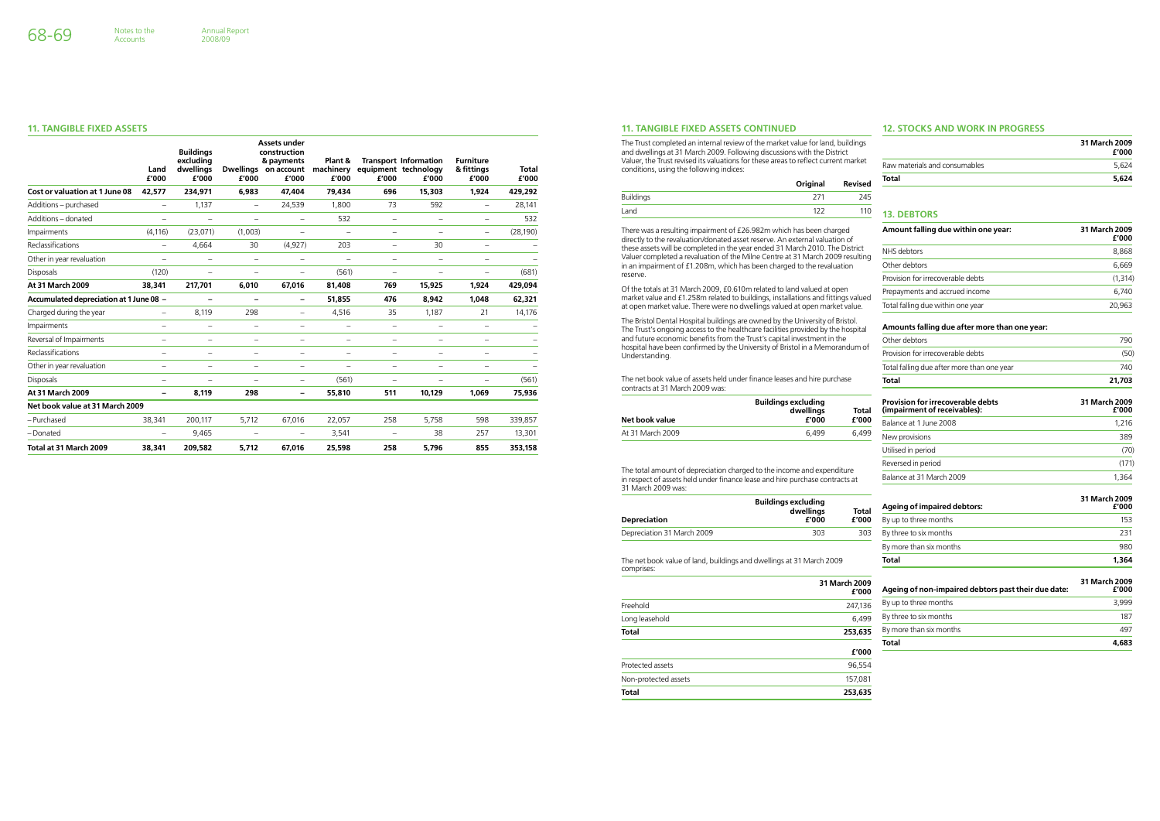#### **11. Tangible Fixed Assets Continued**

The Trust completed an internal review of the market value for land, buildings and dwellings at 31 March 2009. Following discussions with the District Valuer, the Trust revised its valuations for these areas to reflect current market conditions, using the following indices:

|           | Original | <b>Revised</b> |
|-----------|----------|----------------|
| Buildings |          | 245            |
| Land      |          | 11C            |

There was a resulting impairment of £26.982m which has been charged directly to the revaluation/donated asset reserve. An external valuation of these assets will be completed in the year ended 31 March 2010. The District Valuer completed a revaluation of the Milne Centre at 31 March 2009 resulting in an impairment of £1.208m, which has been charged to the revaluation reserve.

Of the totals at 31 March 2009, £0.610m related to land valued at open market value and £1.258m related to buildings, installations and fittings valued at open market value. There were no dwellings valued at open market value.

The Bristol Dental Hospital buildings are owned by the University of Bristol. The Trust's ongoing access to the healthcare facilities provided by the hospital and future economic benefits from the Trust's capital investment in the hospital have been confirmed by the University of Bristol in a Memorandum of Understanding.

The net book value of assets held under finance leases and hire purchase contracts at 31 March 2009 was:

| Net book value   | <b>Buildings excluding</b><br>dwellings<br>£'000 | Total<br>£'000 |
|------------------|--------------------------------------------------|----------------|
| At 31 March 2009 | 6.499                                            | 6.499          |

The total amount of depreciation charged to the income and expenditure in respect of assets held under finance lease and hire purchase contracts at 31 March 2009 was:

comprises:

#### **12. Stocks and Work In Progress**

| 31 March 2009<br>£'000 |
|------------------------|
| 5.624                  |
| 5.624                  |
|                        |

### **13. Debtors**

| Amount falling due within one year: | 31 March 2009<br>£'000 |  |
|-------------------------------------|------------------------|--|
| NHS debtors                         | 8,868                  |  |
| Other debtors                       | 6,669                  |  |
| Provision for irrecoverable debts   | (1, 314)               |  |
| Prepayments and accrued income      | 6.740                  |  |
| Total falling due within one year   | 20,963                 |  |

|                                                                      | <b>Buildings excluding</b><br>dwellings | <b>Total</b> | <b>Ageing of impaired debtors:</b> | 31 March 2009<br>£'000 |
|----------------------------------------------------------------------|-----------------------------------------|--------------|------------------------------------|------------------------|
| <b>Depreciation</b>                                                  | £'000                                   | £'000        | By up to three months              | 153                    |
| Depreciation 31 March 2009                                           | 303                                     | 303          | By three to six months             | 231                    |
|                                                                      |                                         |              | By more than six months            | 980                    |
| The net book value of land, buildings and dwellings at 31 March 2009 |                                         |              | Total                              | 1.364                  |

#### **Amounts falling due after more than one year:**

|                      | 31 March 2009<br>£'000 | Ageing of non-impaired debtors past their due date: | 31 March 2009<br>£'000 |
|----------------------|------------------------|-----------------------------------------------------|------------------------|
| Freehold             | 247,136                | By up to three months                               | 3.999                  |
| Long leasehold       | 6.499                  | By three to six months                              | 187                    |
| <b>Total</b>         | 253,635                | By more than six months                             | 497                    |
|                      | £'000                  | <b>Total</b>                                        | 4,683                  |
| Protected assets     | 96,554                 |                                                     |                        |
| Non-protected assets | 157,081                |                                                     |                        |
| <b>Total</b>         | 253,635                |                                                     |                        |

| Total                                      | 21.703 |
|--------------------------------------------|--------|
| Total falling due after more than one year | 740    |
| Provision for irrecoverable debts          | (50)   |
| Other debtors                              | 790    |

#### **Provision for irrecoverable debts 31 March 2009 (impairment of receivables): £'000**

| Balance at 1 June 2008   | 1.216 |
|--------------------------|-------|
| New provisions           | 389   |
| Utilised in period       | (70)  |
| Reversed in period       | (171) |
| Balance at 31 March 2009 | 1.364 |

Accounts

#### **11. Tangible Fixed Assets**

|                                         | Land<br>£'000            | <b>Buildings</b><br>excluding<br>dwellings<br>£'000 | <b>Dwellings</b><br>£'000 | Assets under<br>construction<br>& payments<br>on account<br>£'000 | Plant &<br>machinery<br>£'000 | f'000                    | <b>Transport Information</b><br>equipment technology<br>f'000 | <b>Furniture</b><br>& fittings<br>£'000 | <b>Total</b><br>f'000 |
|-----------------------------------------|--------------------------|-----------------------------------------------------|---------------------------|-------------------------------------------------------------------|-------------------------------|--------------------------|---------------------------------------------------------------|-----------------------------------------|-----------------------|
| Cost or valuation at 1 June 08          | 42,577                   | 234,971                                             | 6,983                     | 47,404                                                            | 79.434                        | 696                      | 15,303                                                        | 1.924                                   | 429,292               |
| Additions - purchased                   | $\overline{\phantom{0}}$ | 1,137                                               | $\overline{\phantom{0}}$  | 24,539                                                            | 1,800                         | 73                       | 592                                                           | $\overline{\phantom{0}}$                | 28,141                |
| Additions - donated                     | $\overline{\phantom{0}}$ | $\overline{\phantom{0}}$                            | $\overline{a}$            | $\overline{\phantom{0}}$                                          | 532                           | $\overline{\phantom{0}}$ | $\overline{\phantom{0}}$                                      | $\overline{\phantom{0}}$                | 532                   |
| Impairments                             | (4, 116)                 | (23,071)                                            | (1,003)                   | $\overline{\phantom{0}}$                                          | $\qquad \qquad -$             | $\overline{\phantom{0}}$ | $\overline{\phantom{0}}$                                      | $\qquad \qquad -$                       | (28, 190)             |
| Reclassifications                       | $\overline{\phantom{0}}$ | 4,664                                               | 30                        | (4,927)                                                           | 203                           | $\overline{\phantom{0}}$ | 30                                                            | $\overline{\phantom{0}}$                |                       |
| Other in year revaluation               | $\overline{\phantom{0}}$ | $\overline{\phantom{0}}$                            | $\overline{\phantom{0}}$  | $\overline{\phantom{0}}$                                          | $\qquad \qquad -$             | $\overline{\phantom{0}}$ | $\overline{\phantom{0}}$                                      | $\overline{\phantom{0}}$                | $\overline{ }$        |
| <b>Disposals</b>                        | (120)                    | $\overline{\phantom{0}}$                            | $\overline{a}$            | $\overline{\phantom{0}}$                                          | (561)                         | $\overline{\phantom{0}}$ | $\overline{\phantom{0}}$                                      | $\overline{\phantom{0}}$                | (681)                 |
| At 31 March 2009                        | 38,341                   | 217,701                                             | 6,010                     | 67,016                                                            | 81,408                        | 769                      | 15,925                                                        | 1,924                                   | 429,094               |
| Accumulated depreciation at 1 June 08 - |                          |                                                     | $\overline{\phantom{0}}$  | -                                                                 | 51,855                        | 476                      | 8,942                                                         | 1,048                                   | 62,321                |
| Charged during the year                 | $\qquad \qquad -$        | 8,119                                               | 298                       | $\overline{\phantom{0}}$                                          | 4,516                         | 35                       | 1,187                                                         | 21                                      | 14,176                |
| Impairments                             | $\overline{\phantom{0}}$ | $\overline{\phantom{0}}$                            | $\overline{\phantom{0}}$  | $\overline{\phantom{0}}$                                          | $\overline{\phantom{0}}$      | $\overline{\phantom{0}}$ | $\overline{\phantom{0}}$                                      | $\overline{\phantom{0}}$                |                       |
| Reversal of Impairments                 | $\overline{\phantom{0}}$ | $\overline{\phantom{0}}$                            | $\overline{\phantom{0}}$  | $\overline{\phantom{0}}$                                          | $\overline{\phantom{0}}$      | $\overline{\phantom{0}}$ | $\overline{\phantom{0}}$                                      | $\overline{\phantom{0}}$                |                       |
| Reclassifications                       |                          |                                                     | $\overline{\phantom{0}}$  |                                                                   |                               |                          |                                                               | $\overline{\phantom{0}}$                |                       |
| Other in year revaluation               | $\overline{\phantom{0}}$ | $\overline{\phantom{0}}$                            | $\overline{\phantom{0}}$  | —                                                                 | —                             | $\overline{\phantom{0}}$ | $\overline{\phantom{0}}$                                      | —                                       |                       |
| <b>Disposals</b>                        |                          | $\overline{\phantom{0}}$                            | $\overline{\phantom{0}}$  | $\overline{\phantom{m}}$                                          | (561)                         | $\overline{\phantom{0}}$ | $\overline{\phantom{0}}$                                      | $\overline{\phantom{0}}$                | (561)                 |
| At 31 March 2009                        | $\qquad \qquad -$        | 8.119                                               | 298                       | $\overline{\phantom{a}}$                                          | 55,810                        | 511                      | 10,129                                                        | 1.069                                   | 75,936                |
| Net book value at 31 March 2009         |                          |                                                     |                           |                                                                   |                               |                          |                                                               |                                         |                       |
| - Purchased                             | 38,341                   | 200,117                                             | 5,712                     | 67,016                                                            | 22,057                        | 258                      | 5,758                                                         | 598                                     | 339,857               |
| - Donated                               | $\overline{\phantom{0}}$ | 9,465                                               | $\overline{\phantom{0}}$  | $\overline{\phantom{0}}$                                          | 3,541                         | $\overline{\phantom{0}}$ | 38                                                            | 257                                     | 13,301                |
| Total at 31 March 2009                  | 38,341                   | 209,582                                             | 5.712                     | 67,016                                                            | 25,598                        | 258                      | 5,796                                                         | 855                                     | 353,158               |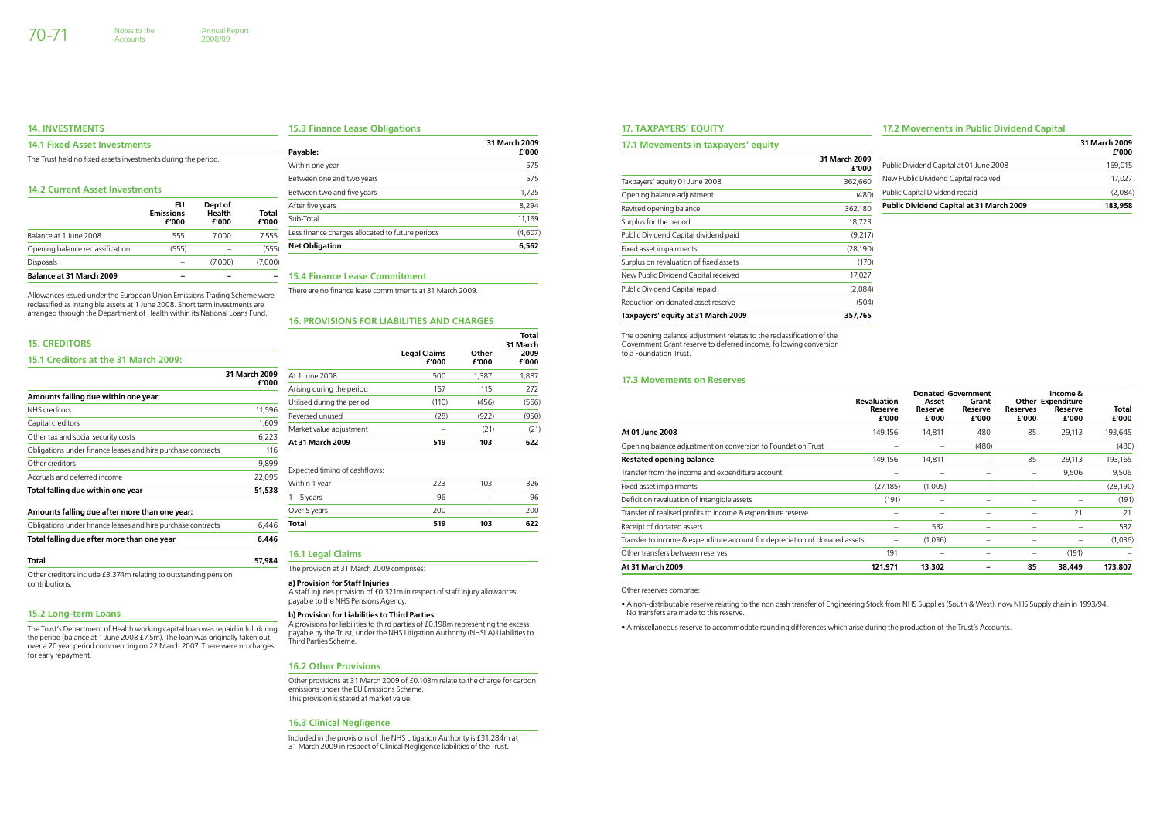### **17.2 Movements in Public Dividend Capital**

#### **17. Taxpayers' Equity**

| 17.1 Movements in taxpayers' equity    |                        |                                                 | 31 March 2009    |
|----------------------------------------|------------------------|-------------------------------------------------|------------------|
|                                        | 31 March 2009<br>£'000 | Public Dividend Capital at 01 June 2008         | £'000<br>169,015 |
| Taxpayers' equity 01 June 2008         | 362,660                | New Public Dividend Capital received            | 17,027           |
| Opening balance adjustment             | (480)                  | Public Capital Dividend repaid                  | (2,084)          |
| Revised opening balance                | 362,180                | <b>Public Dividend Capital at 31 March 2009</b> | 183,958          |
| Surplus for the period                 | 18,723                 |                                                 |                  |
| Public Dividend Capital dividend paid  | (9,217)                |                                                 |                  |
| Fixed asset impairments                | (28, 190)              |                                                 |                  |
| Surplus on revaluation of fixed assets | (170)                  |                                                 |                  |
| New Public Dividend Capital received   | 17,027                 |                                                 |                  |
| Public Dividend Capital repaid         | (2,084)                |                                                 |                  |
| Reduction on donated asset reserve     | (504)                  |                                                 |                  |
| Taxpayers' equity at 31 March 2009     | 357,765                |                                                 |                  |

The opening balance adjustment relates to the reclassification of the Government Grant reserve to deferred income, following conversion to a Foundation Trust.

#### **17.3 Movements on Reserves**

|                                                                             | <b>Revaluation</b><br>Reserve<br>£'000 | Asset<br>Reserve<br>£'000 | <b>Donated Government</b><br>Grant<br>Reserve<br>£'000 | <b>Reserves</b><br>£'000 | Income &<br><b>Other Expenditure</b><br>Reserve<br>£'000 | Total<br>£'000 |
|-----------------------------------------------------------------------------|----------------------------------------|---------------------------|--------------------------------------------------------|--------------------------|----------------------------------------------------------|----------------|
| At 01 June 2008                                                             | 149,156                                | 14,811                    | 480                                                    | 85                       | 29,113                                                   | 193,645        |
| Opening balance adjustment on conversion to Foundation Trust                |                                        |                           | (480)                                                  |                          |                                                          | (480)          |
| <b>Restated opening balance</b>                                             | 149,156                                | 14,811                    |                                                        | 85                       | 29,113                                                   | 193,165        |
| Transfer from the income and expenditure account                            |                                        |                           |                                                        | $\overline{\phantom{m}}$ | 9,506                                                    | 9,506          |
| Fixed asset impairments                                                     | (27, 185)                              | (1,005)                   | -                                                      |                          |                                                          | (28, 190)      |
| Deficit on revaluation of intangible assets                                 | (191)                                  |                           |                                                        |                          |                                                          | (191)          |
| Transfer of realised profits to income & expenditure reserve                |                                        |                           |                                                        |                          | 21                                                       | 21             |
| Receipt of donated assets                                                   | $\qquad \qquad$                        | 532                       | $\overline{\phantom{0}}$                               |                          |                                                          | 532            |
| Transfer to income & expenditure account for depreciation of donated assets | —                                      | (1,036)                   |                                                        |                          |                                                          | (1,036)        |
| Other transfers between reserves                                            | 191                                    |                           | $\overline{\phantom{0}}$                               | $\qquad \qquad -$        | (191)                                                    |                |
| <b>At 31 March 2009</b>                                                     | 121,971                                | 13,302                    |                                                        | 85                       | 38,449                                                   | 173,807        |

Other reserves comprise:

• A non-distributable reserve relating to the non cash transfer of Engineering Stock from NHS Supplies (South & West), now NHS Supply chain in 1993/94. No transfers are made to this reserve.

• A miscellaneous reserve to accommodate rounding differences which arise during the production of the Trust's Accounts.

Accounts

#### **15.3 Finance Lease Obligations**

| Payable:                                         | 31 March 2009<br>£'000 |
|--------------------------------------------------|------------------------|
| Within one year                                  | 575                    |
| Between one and two years                        | 575                    |
| Between two and five years                       | 1,725                  |
| After five years                                 | 8,294                  |
| Sub-Total                                        | 11,169                 |
| Less finance charges allocated to future periods | (4,607)                |
| <b>Net Obligation</b>                            | 6,562                  |

#### **15.4 Finance Lease Commitment**

There are no finance lease commitments at 31 March 2009.

#### **16. Provisions for Liabilities and Charges**

|                               | <b>Legal Claims</b><br>£'000 | Other<br>£'000 | Total<br>31 March<br>2009<br>£'000 |
|-------------------------------|------------------------------|----------------|------------------------------------|
| At 1 June 2008                | 500                          | 1,387          | 1,887                              |
| Arising during the period     | 157                          | 115            | 272                                |
| Utilised during the period    | (110)                        | (456)          | (566)                              |
| Reversed unused               | (28)                         | (922)          | (950)                              |
| Market value adjustment       |                              | (21)           | (21)                               |
| <b>At 31 March 2009</b>       | 519                          | 103            | 622                                |
| Expected timing of cashflows: |                              |                |                                    |
| Within 1 year                 | 223                          | 103            | 326                                |
| $1 - 5$ years                 | 96                           |                | 96                                 |
| Over 5 years                  | 200                          |                | 200                                |
| Total                         | 519                          | 103            | 622                                |

#### **16.1 Legal Claims**

The provision at 31 March 2009 comprises:

#### **a) Provision for Staff Injuries**

A staff injuries provision of £0.321m in respect of staff injury allowances payable to the NHS Pensions Agency.

#### **b) Provision for Liabilities to Third Parties**

A provisions for liabilities to third parties of £0.198m representing the excess payable by the Trust, under the NHS Litigation Authority (NHSLA) Liabilities to Third Parties Scheme.

### **16.2 Other Provisions**

Other provisions at 31 March 2009 of £0.103m relate to the charge for carbon emissions under the EU Emissions Scheme. This provision is stated at market value.

#### **16.3 Clinical Negligence**

Included in the provisions of the NHS Litigation Authority is £31.284m at 31 March 2009 in respect of Clinical Negligence liabilities of the Trust.

#### **14. Investments**

#### **14.1 Fixed Asset Investments**

The Trust held no fixed assets investments during the period.

#### **14.2 Current Asset Investments**

|                                  | EU<br><b>Emissions</b><br>£'000 | Dept of<br><b>Health</b><br>£'000 | Total<br>£'000 |
|----------------------------------|---------------------------------|-----------------------------------|----------------|
| Balance at 1 June 2008           | 555                             | 7.000                             | 7.555          |
| Opening balance reclassification | (555)                           |                                   | (555)          |
| <b>Disposals</b>                 |                                 | (7,000)                           | (7,000)        |
| <b>Balance at 31 March 2009</b>  |                                 |                                   |                |

Allowances issued under the European Union Emissions Trading Scheme were reclassified as intangible assets at 1 June 2008. Short term investments are arranged through the Department of Health within its National Loans Fund.

#### **15. Creditors**

| 15.1 Creditors at the 31 March 2009:                         |                        |
|--------------------------------------------------------------|------------------------|
|                                                              | 31 March 2009<br>£'000 |
| Amounts falling due within one year:                         |                        |
| NHS creditors                                                | 11,596                 |
| Capital creditors                                            | 1,609                  |
| Other tax and social security costs                          | 6,223                  |
| Obligations under finance leases and hire purchase contracts | 116                    |
| Other creditors                                              | 9,899                  |
| Accruals and deferred income                                 | 22,095                 |
| Total falling due within one year                            | 51,538                 |
| Amounts falling due after more than one year:                |                        |
| Obligations under finance leases and hire purchase contracts | 6,446                  |
| Total falling due after more than one year                   | 6,446                  |

#### **Total 57,984**

Other creditors include £3.374m relating to outstanding pension contributions.

#### **15.2 Long-term Loans**

The Trust's Department of Health working capital loan was repaid in full during the period (balance at 1 June 2008 £7.5m). The loan was originally taken out over a 20 year period commencing on 22 March 2007. There were no charges for early repayment.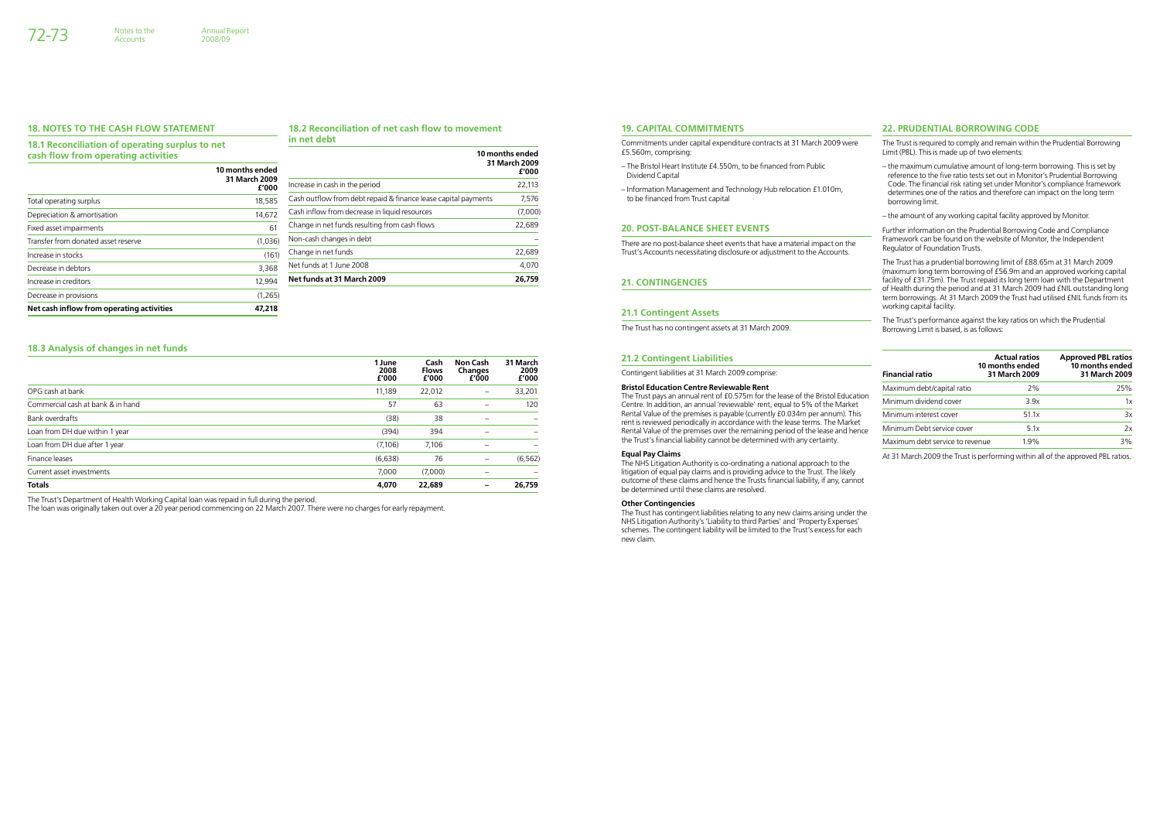### **22. Prudential borrowing code**

The Trust is required to comply and remain within the Prudential Borrowing Limit (PBL). This is made up of two elements:

- the maximum cumulative amount of long-term borrowing. This is set by reference to the five ratio tests set out in Monitor's Prudential Borrowing Code. The financial risk rating set under Monitor's compliance framework determines one of the ratios and therefore can impact on the long term borrowing limit.
- the amount of any working capital facility approved by Monitor.

Further information on the Prudential Borrowing Code and Compliance Framework can be found on the website of Monitor, the Independent Regulator of Foundation Trusts.

The Trust has a prudential borrowing limit of £88.65m at 31 March 2009 (maximum long term borrowing of £56.9m and an approved working capital facility of £31.75m). The Trust repaid its long term loan with the Department of Health during the period and at 31 March 2009 had £NIL outstanding long term borrowings. At 31 March 2009 the Trust had utilised £NIL funds from its working capital facility.

The Trust's performance against the key ratios on which the Prudential Borrowing Limit is based, is as follows:

| <b>Financial ratio</b>          | <b>Actual ratios</b><br>10 months ended<br>31 March 2009 | <b>Approved PBL ratios</b><br>10 months ended<br>31 March 2009 |
|---------------------------------|----------------------------------------------------------|----------------------------------------------------------------|
| Maximum debt/capital ratio      | 2%                                                       | 25%                                                            |
| Minimum dividend cover          | 3.9x                                                     | 1x                                                             |
| Minimum interest cover          | 51.1x                                                    | 3x                                                             |
| Minimum Debt service cover      | 5.1x                                                     | 2x                                                             |
| Maximum debt service to revenue | 1.9%                                                     | 3%                                                             |

At 31 March 2009 the Trust is performing within all of the approved PBL ratios.

#### **19. Capital Commitments**

Commitments under capital expenditure contracts at 31 March 2009 were £5.560m, comprising:

- The Bristol Heart Institute £4.550m, to be financed from Public Dividend Capital
- Information Management and Technology Hub relocation £1.010m, to be financed from Trust capital

#### **20. Post-Balance Sheet Events**

There are no post-balance sheet events that have a material impact on the Trust's Accounts necessitating disclosure or adjustment to the Accounts.

#### 21. CONTINGENCIES

#### **21.1 Contingent Assets**

The Trust has no contingent assets at 31 March 2009.

#### **21.2 Contingent Liabilities**

Contingent liabilities at 31 March 2009 comprise:

#### **18.2 Reconciliation of net cash flow to movement**  in

| net debt |  |  |
|----------|--|--|
|          |  |  |

#### **Bristol Education Centre Reviewable Rent**

The Trust pays an annual rent of £0.575m for the lease of the Bristol Education Centre. In addition, an annual 'reviewable' rent, equal to 5% of the Market Rental Value of the premises is payable (currently £0.034m per annum). This rental value of the premises is payable (edificing 10.00 mm per difficulty). This reviewed periodically in accordance with the lease terms. The Market Rental Value of the premises over the remaining period of the lease and hence the Trust's financial liability cannot be determined with any certainty.

#### **Equal Pay Claims**

The NHS Litigation Authority is co-ordinating a national approach to the litigation of equal pay claims and is providing advice to the Trust. The likely outcome of these claims and hence the Trusts financial liability, if any, cannot be determined until these claims are resolved.

#### **Other Contingencies**

The Trust has contingent liabilities relating to any new claims arising under the NHS Litigation Authority's 'Liability to third Parties' and 'Property Expenses' schemes. The contingent liability will be limited to the Trust's excess for each new claim.

72-73 Notes to the

#### **18.3 Analysis of changes in net funds**

|                                   | 1 June<br>2008<br>£'000 | Cash<br><b>Flows</b><br>£'000 | <b>Non Cash</b><br>Changes<br>£'000 | 31 March<br>2009<br>£'000 |
|-----------------------------------|-------------------------|-------------------------------|-------------------------------------|---------------------------|
| OPG cash at bank                  | 11,189                  | 22,012                        | $\qquad \qquad$                     | 33,201                    |
| Commercial cash at bank & in hand | 57                      | 63                            |                                     | 120                       |
| Bank overdrafts                   | (38)                    | 38                            |                                     |                           |
| Loan from DH due within 1 year    | (394)                   | 394                           |                                     |                           |
| Loan from DH due after 1 year     | (7,106)                 | 7,106                         |                                     |                           |
| Finance leases                    | (6,638)                 | 76                            |                                     | (6, 562)                  |
| Current asset investments         | 7,000                   | (7,000)                       |                                     |                           |
| <b>Totals</b>                     | 4,070                   | 22,689                        |                                     | 26.759                    |

The Trust's Department of Health Working Capital loan was repaid in full during the period.

The loan was originally taken out over a 20 year period commencing on 22 March 2007. There were no charges for early repayment.

#### **18. Notes to the Cash Flow Statement**

**18.1 Reconciliation of operating surplus to net cash flow from operating activities**

**Accounts** 

|                                           | 10 months ended<br>31 March 2009<br>£'000 |
|-------------------------------------------|-------------------------------------------|
| Total operating surplus                   | 18,585                                    |
| Depreciation & amortisation               | 14,672                                    |
| Fixed asset impairments                   | 61                                        |
| Transfer from donated asset reserve       | (1,036)                                   |
| Increase in stocks                        | (161)                                     |
| Decrease in debtors                       | 3,368                                     |
| Increase in creditors                     | 12,994                                    |
| Decrease in provisions                    | (1,265)                                   |
| Net cash inflow from operating activities | 47.218                                    |

|                                                                | 10 months ended<br>31 March 2009<br>£'000 |
|----------------------------------------------------------------|-------------------------------------------|
| Increase in cash in the period                                 | 22,113                                    |
| Cash outflow from debt repaid & finance lease capital payments | 7,576                                     |
| Cash inflow from decrease in liquid resources                  | (7,000)                                   |
| Change in net funds resulting from cash flows                  | 22,689                                    |
| Non-cash changes in debt                                       |                                           |
| Change in net funds                                            | 22,689                                    |
| Net funds at 1 June 2008                                       | 4,070                                     |
| Net funds at 31 March 2009                                     | 26.759                                    |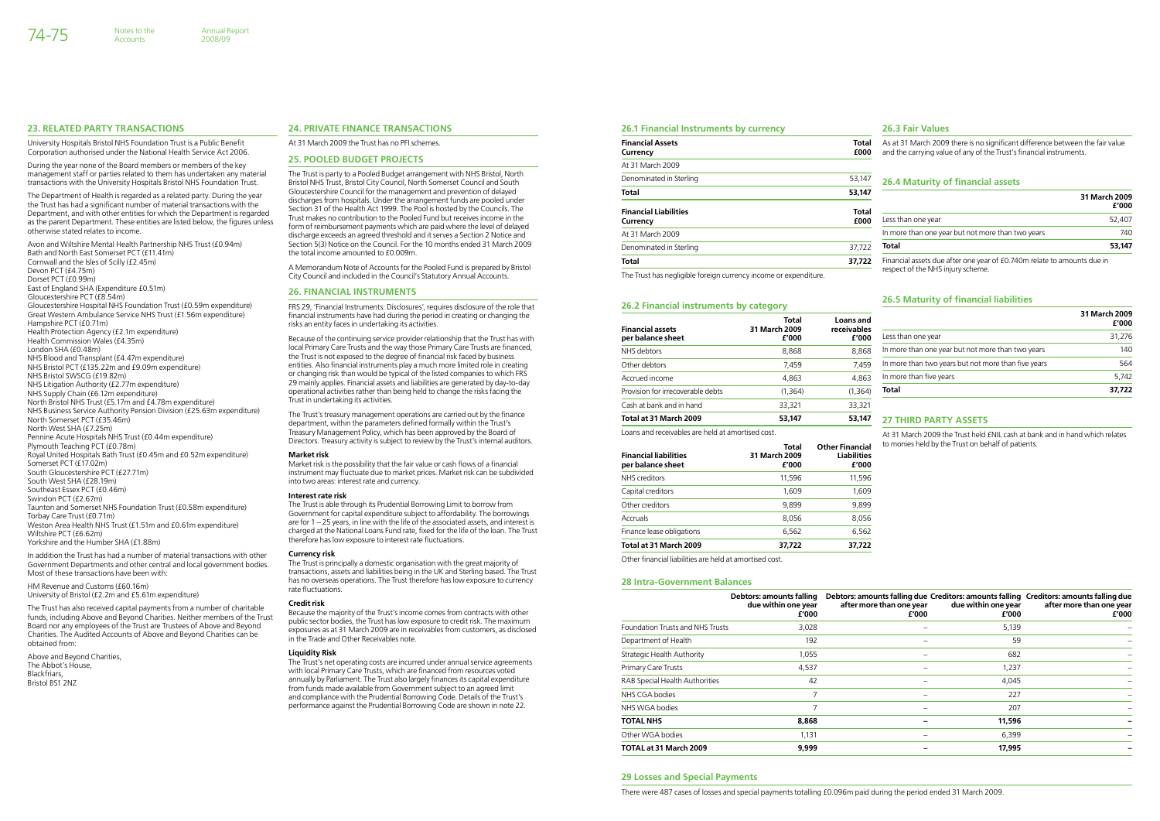#### **26.1 Financial Instruments by currency**

| <b>Financial Assets</b><br>Currency      | Total<br>£000        |
|------------------------------------------|----------------------|
| At 31 March 2009                         |                      |
| Denominated in Sterling                  | 53,147               |
| Total                                    | 53,147               |
| <b>Financial Liabilities</b><br>Currency | <b>Total</b><br>£000 |
| At 31 March 2009                         |                      |
| Denominated in Sterling                  | 37,722               |
| Total                                    | 37.722               |

The Trust has negligible foreign currency income or expenditure.

#### **26.2 Financial instruments by category**

Loans and receivables are held at amortised cost.

| <b>Financial liabilities</b><br>per balance sheet | Total<br>31 March 2009<br>£'000 | <b>Other Financial</b><br><b>Liabilities</b><br>£'000 |
|---------------------------------------------------|---------------------------------|-------------------------------------------------------|
| NHS creditors                                     | 11,596                          | 11,596                                                |
| Capital creditors                                 | 1,609                           | 1,609                                                 |
| Other creditors                                   | 9.899                           | 9,899                                                 |
| Accruals                                          | 8,056                           | 8,056                                                 |
| Finance lease obligations                         | 6,562                           | 6,562                                                 |
| Total at 31 March 2009                            | 37,722                          | 37,722                                                |

Other financial liabilities are held at amortised cost.

| <b>Financial assets</b>           | <b>Total</b><br>31 March 2009 | Loans and<br>receivables |                                                     | 31 March 2009<br>£'000 |
|-----------------------------------|-------------------------------|--------------------------|-----------------------------------------------------|------------------------|
| per balance sheet                 | £'000                         | £'000                    | Less than one year                                  | 31,276                 |
| NHS debtors                       | 8,868                         | 8,868                    | In more than one year but not more than two years   | 140                    |
| Other debtors                     | 7,459                         | 7.459                    | In more than two years but not more than five years | 564<br>5,742           |
| Accrued income                    | 4,863                         | 4,863                    | In more than five years                             |                        |
| Provision for irrecoverable debts | (1, 364)                      | (1, 364)                 | Total                                               | 37,722                 |
| Cash at bank and in hand          | 33,321                        | 33,321                   |                                                     |                        |
| Total at 31 March 2009            | 53,147                        | 53,147                   | <b>27 THIRD PARTY ASSETS</b>                        |                        |

#### **26.3 Fair Values**

As at 31 March 2009 there is no significant difference between the fair value and the carrying value of any of the Trust's financial instruments.

#### **26.4 Maturity of financial assets**

| 31 March 2009<br>£'000 |
|------------------------|
| 52,407                 |
| 740                    |
| 53.147                 |
|                        |

Financial assets due after one year of £0.740m relate to amounts due in respect of the NHS injury scheme.

#### **26.5 Maturity of financial liabilities**

### **27 THIRD PARTY AS**

At 31 March 2009 the Trust held £NIL cash at bank and in hand which relates to monies held by the Trust on behalf of patients.

#### **28 Intra-Government Balances**

|                                         | Debtors: amounts falling<br>due within one year<br>£'000 | after more than one year<br>£'000 | due within one year<br>£'000 | Debtors: amounts falling due Creditors: amounts falling Creditors: amounts falling due<br>after more than one year<br>£'000 |
|-----------------------------------------|----------------------------------------------------------|-----------------------------------|------------------------------|-----------------------------------------------------------------------------------------------------------------------------|
| <b>Foundation Trusts and NHS Trusts</b> | 3,028                                                    |                                   | 5,139                        |                                                                                                                             |
| Department of Health                    | 192                                                      |                                   | 59                           |                                                                                                                             |
| Strategic Health Authority              | 1,055                                                    |                                   | 682                          |                                                                                                                             |
| Primary Care Trusts                     | 4,537                                                    |                                   | 1,237                        |                                                                                                                             |
| RAB Special Health Authorities          | 42                                                       | -                                 | 4,045                        |                                                                                                                             |
| NHS CGA bodies                          | 7                                                        |                                   | 227                          |                                                                                                                             |
| NHS WGA bodies                          | 7                                                        | -                                 | 207                          |                                                                                                                             |
| <b>TOTAL NHS</b>                        | 8,868                                                    |                                   | 11,596                       |                                                                                                                             |
| Other WGA bodies                        | 1,131                                                    | -                                 | 6,399                        |                                                                                                                             |
| <b>TOTAL at 31 March 2009</b>           | 9,999                                                    |                                   | 17,995                       |                                                                                                                             |

#### **29 Losses and Special Payments**

There were 487 cases of losses and special payments totalling £0.096m paid during the period ended 31 March 2009.

#### **23. Related Party Transactions**

University Hospitals Bristol NHS Foundation Trust is a Public Benefit Corporation authorised under the National Health Service Act 2006.

During the year none of the Board members or members of the key management staff or parties related to them has undertaken any material transactions with the University Hospitals Bristol NHS Foundation Trust.

The Department of Health is regarded as a related party. During the year the Trust has had a significant number of material transactions with the Department, and with other entities for which the Department is regarded as the parent Department. These entities are listed below, the figures unless otherwise stated relates to income.

> The Trust's treasury management operations are carried out by the finance department, within the parameters defined formally within the Trust's Treasury Management Policy, which has been approved by the Board of Directors. Treasury activity is subject to review by the Trust's internal auditors.

Avon and Wiltshire Mental Health Partnership NHS Trust (£0.94m) Bath and North East Somerset PCT (£11.41m) Cornwall and the Isles of Scilly (£2.45m) Devon PCT (£4.75m) Dorset PCT (£0.99m) East of England SHA (Expenditure £0.51m) Gloucestershire PCT (£8.54m) Gloucestershire Hospital NHS Foundation Trust (£0.59m expenditure) Great Western Ambulance Service NHS Trust (£1.56m expenditure) Hampshire PCT (£0.71m) Health Protection Agency (£2.1m expenditure) Health Commission Wales (£4.35m) London SHA (£0.48m) NHS Blood and Transplant (£4.47m expenditure) NHS Bristol PCT (£135.22m and £9.09m expenditure) NHS Bristol SWSCG (£19.82m) NHS Litigation Authority (£2.77m expenditure) NHS Supply Chain (£6.12m expenditure) North Bristol NHS Trust (£5.17m and £4.78m expenditure) NHS Business Service Authority Pension Division (£25.63m expenditure) North Somerset PCT (£35.46m) North West SHA (£7.25m) Pennine Acute Hospitals NHS Trust (£0.44m expenditure) Plymouth Teaching PCT (£0.78m) Royal United Hospitals Bath Trust (£0.45m and £0.52m expenditure) Somerset PCT (£17.02m) South Gloucestershire PCT (£27.71m) South West SHA (£28.19m) Southeast Essex PCT (£0.46m) Swindon PCT (£2.67m) Taunton and Somerset NHS Foundation Trust (£0.58m expenditure) Torbay Care Trust (£0.71m) Weston Area Health NHS Trust (£1.51m and £0.61m expenditure) Wiltshire PCT (£6.62m) Yorkshire and the Humber SHA (£1.88m)

In addition the Trust has had a number of material transactions with other Government Departments and other central and local government bodies. Most of these transactions have been with:

HM Revenue and Customs (£60.16m) University of Bristol (£2.2m and £5.61m expenditure)

The Trust has also received capital payments from a number of charitable funds, including Above and Beyond Charities. Neither members of the Trust Board nor any employees of the Trust are Trustees of Above and Beyond Charities. The Audited Accounts of Above and Beyond Charities can be obtained from:

Above and Beyond Charities, The Abbot's House, **Blackfriars** Bristol BS1 2NZ

#### **24. Private Finance Transactions**

At 31 March 2009 the Trust has no PFI schemes.

#### **25. Pooled Budget Projects**

The Trust is party to a Pooled Budget arrangement with NHS Bristol, North Bristol NHS Trust, Bristol City Council, North Somerset Council and South Gloucestershire Council for the management and prevention of delayed discharges from hospitals. Under the arrangement funds are pooled under Section 31 of the Health Act 1999. The Pool is hosted by the Councils. The Trust makes no contribution to the Pooled Fund but receives income in the form of reimbursement payments which are paid where the level of delayed discharge exceeds an agreed threshold and it serves a Section 2 Notice and Section 5(3) Notice on the Council. For the 10 months ended 31 March 2009 the total income amounted to £0.009m.

A Memorandum Note of Accounts for the Pooled Fund is prepared by Bristol City Council and included in the Council's Statutory Annual Accounts.

#### **26. Financial Instruments**

FRS 29, 'Financial Instruments: Disclosures', requires disclosure of the role that financial instruments have had during the period in creating or changing the risks an entity faces in undertaking its activities.

Because of the continuing service provider relationship that the Trust has with local Primary Care Trusts and the way those Primary Care Trusts are financed, the Trust is not exposed to the degree of financial risk faced by business entities. Also financial instruments play a much more limited role in creating or changing risk than would be typical of the listed companies to which FRS 29 mainly applies. Financial assets and liabilities are generated by day-to-day operational activities rather than being held to change the risks facing the Trust in undertaking its activities.

#### **Market risk**

Market risk is the possibility that the fair value or cash flows of a financial instrument may fluctuate due to market prices. Market risk can be subdivided into two areas: interest rate and currency.

#### **Interest rate risk**

The Trust is able through its Prudential Borrowing Limit to borrow from Government for capital expenditure subject to affordability. The borrowings are for 1 – 25 years, in line with the life of the associated assets, and interest is charged at the National Loans Fund rate, fixed for the life of the loan. The Trust therefore has low exposure to interest rate fluctuations.

#### **Currency risk**

The Trust is principally a domestic organisation with the great majority of transactions, assets and liabilities being in the UK and Sterling based. The Trust has no overseas operations. The Trust therefore has low exposure to currency rate fluctuations.

#### **Credit risk**

Because the majority of the Trust's income comes from contracts with other public sector bodies, the Trust has low exposure to credit risk. The maximum exposures as at 31 March 2009 are in receivables from customers, as disclosed in the Trade and Other Receivables note.

#### **Liquidity Risk**

The Trust's net operating costs are incurred under annual service agreements with local Primary Care Trusts, which are financed from resources voted annually by Parliament. The Trust also largely finances its capital expenditure from funds made available from Government subject to an agreed limit and compliance with the Prudential Borrowing Code. Details of the Trust's performance against the Prudential Borrowing Code are shown in note 22.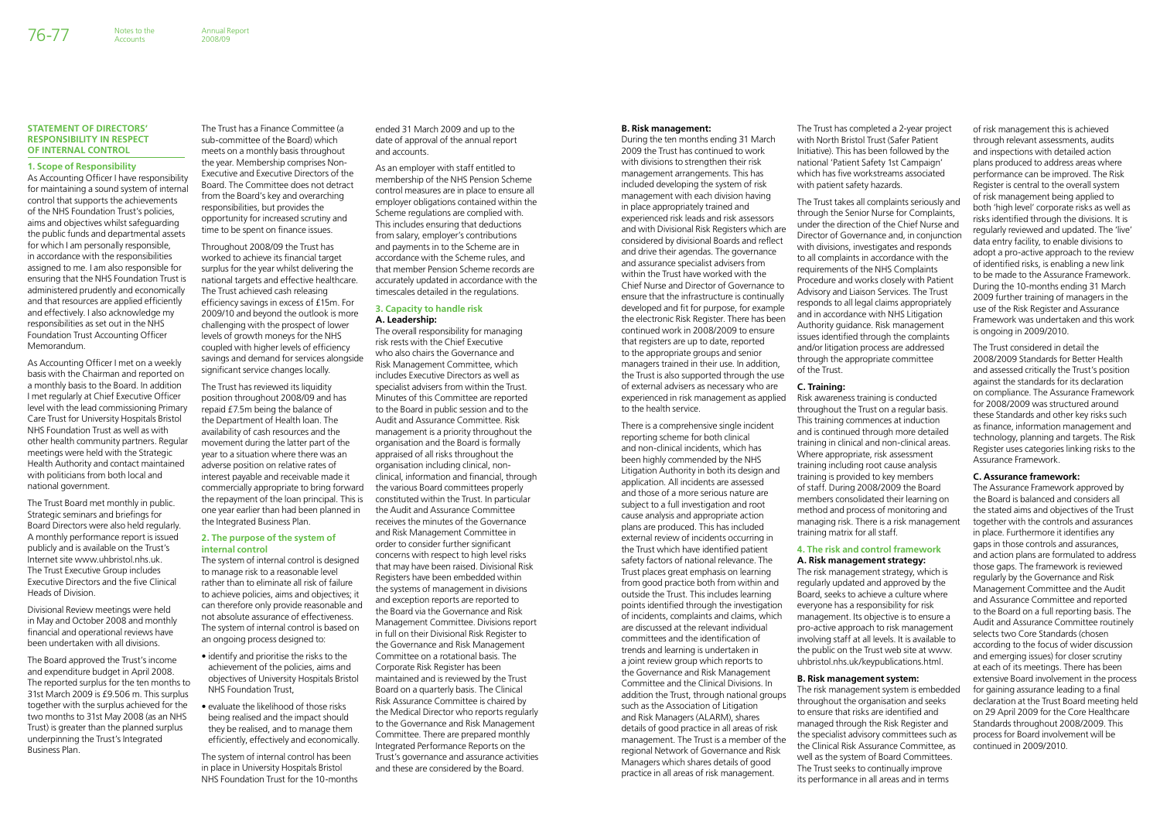#### **B. Risk management:**

During the ten months ending 31 March 2009 the Trust has continued to work with divisions to strengthen their risk management arrangements. This has included developing the system of risk management with each division having in place appropriately trained and experienced risk leads and risk assessors and with Divisional Risk Registers which are considered by divisional Boards and reflect and drive their agendas. The governance and assurance specialist advisers from within the Trust have worked with the Chief Nurse and Director of Governance to ensure that the infrastructure is continually developed and fit for purpose, for example the electronic Risk Register. There has been continued work in 2008/2009 to ensure that registers are up to date, reported to the appropriate groups and senior managers trained in their use. In addition, the Trust is also supported through the use of external advisers as necessary who are experienced in risk management as applied to the health service.

There is a comprehensive single incident reporting scheme for both clinical and non-clinical incidents, which has been highly commended by the NHS Litigation Authority in both its design and application. All incidents are assessed and those of a more serious nature are subject to a full investigation and root cause analysis and appropriate action plans are produced. This has included external review of incidents occurring in the Trust which have identified patient safety factors of national relevance. The Trust places great emphasis on learning from good practice both from within and outside the Trust. This includes learning points identified through the investigation of incidents, complaints and claims, which are discussed at the relevant individual committees and the identification of trends and learning is undertaken in a joint review group which reports to the Governance and Risk Management Committee and the Clinical Divisions. In addition the Trust, through national groups such as the Association of Litigation and Risk Managers (ALARM), shares details of good practice in all areas of risk management. The Trust is a member of the regional Network of Governance and Risk Managers which shares details of good practice in all areas of risk management.

The Trust has completed a 2-year project with North Bristol Trust (Safer Patient Initiative). This has been followed by the national 'Patient Safety 1st Campaign' which has five workstreams associated with patient safety hazards.

The Trust takes all complaints seriously and through the Senior Nurse for Complaints, under the direction of the Chief Nurse and Director of Governance and, in conjunction with divisions, investigates and responds to all complaints in accordance with the requirements of the NHS Complaints Procedure and works closely with Patient Advisory and Liaison Services. The Trust responds to all legal claims appropriately and in accordance with NHS Litigation Authority guidance. Risk management issues identified through the complaints and/or litigation process are addressed through the appropriate committee of the Trust.

#### **C. Training:**

Risk awareness training is conducted throughout the Trust on a regular basis. This training commences at induction and is continued through more detailed training in clinical and non-clinical areas. Where appropriate, risk assessment training including root cause analysis training is provided to key members of staff. During 2008/2009 the Board members consolidated their learning on method and process of monitoring and managing risk. There is a risk management training matrix for all staff.

#### **4. The risk and control framework A. Risk management strategy:**

The risk management strategy, which is regularly updated and approved by the Board, seeks to achieve a culture where everyone has a responsibility for risk management. Its objective is to ensure a pro-active approach to risk management involving staff at all levels. It is available to the public on the Trust web site at www. uhbristol.nhs.uk/keypublications.html.

### **B. Risk management system:**

The risk management system is embedded throughout the organisation and seeks to ensure that risks are identified and managed through the Risk Register and the specialist advisory committees such as the Clinical Risk Assurance Committee, as well as the system of Board Committees. The Trust seeks to continually improve its performance in all areas and in terms

of risk management this is achieved through relevant assessments, audits and inspections with detailed action plans produced to address areas where performance can be improved. The Risk Register is central to the overall system of risk management being applied to both 'high level' corporate risks as well as risks identified through the divisions. It is regularly reviewed and updated. The 'live' data entry facility, to enable divisions to adopt a pro-active approach to the review of identified risks, is enabling a new link to be made to the Assurance Framework. During the 10-months ending 31 March 2009 further training of managers in the use of the Risk Register and Assurance Framework was undertaken and this work is ongoing in 2009/2010.

The Trust considered in detail the 2008/2009 Standards for Better Health and assessed critically the Trust's position against the standards for its declaration on compliance. The Assurance Framework for 2008/2009 was structured around these Standards and other key risks such as finance, information management and technology, planning and targets. The Risk Register uses categories linking risks to the Assurance Framework.

#### **C. Assurance framework:**

The Assurance Framework approved by the Board is balanced and considers all the stated aims and objectives of the Trust together with the controls and assurances in place. Furthermore it identifies any gaps in those controls and assurances, and action plans are formulated to address those gaps. The framework is reviewed regularly by the Governance and Risk Management Committee and the Audit and Assurance Committee and reported to the Board on a full reporting basis. The Audit and Assurance Committee routinely selects two Core Standards (chosen according to the focus of wider discussion and emerging issues) for closer scrutiny at each of its meetings. There has been extensive Board involvement in the process for gaining assurance leading to a final declaration at the Trust Board meeting held on 29 April 2009 for the Core Healthcare Standards throughout 2008/2009. This process for Board involvement will be continued in 2009/2010.

#### **Statement of Directors' responsibility in respect of Internal Control**

**Accounts** 

#### **1. Scope of Responsibility**

As Accounting Officer I have responsibility for maintaining a sound system of internal control that supports the achievements of the NHS Foundation Trust's policies, aims and objectives whilst safeguarding the public funds and departmental assets for which I am personally responsible, in accordance with the responsibilities assigned to me. I am also responsible for ensuring that the NHS Foundation Trust is administered prudently and economically and that resources are applied efficiently and effectively. I also acknowledge my responsibilities as set out in the NHS Foundation Trust Accounting Officer Memorandum.

As Accounting Officer I met on a weekly basis with the Chairman and reported on a monthly basis to the Board. In addition I met regularly at Chief Executive Officer level with the lead commissioning Primary Care Trust for University Hospitals Bristol NHS Foundation Trust as well as with other health community partners. Regular meetings were held with the Strategic Health Authority and contact maintained with politicians from both local and national government.

The Trust Board met monthly in public. Strategic seminars and briefings for Board Directors were also held regularly. A monthly performance report is issued publicly and is available on the Trust's Internet site www.uhbristol.nhs.uk. The Trust Executive Group includes Executive Directors and the five Clinical Heads of Division.

Divisional Review meetings were held in May and October 2008 and monthly financial and operational reviews have been undertaken with all divisions.

The Board approved the Trust's income and expenditure budget in April 2008. The reported surplus for the ten months to 31st March 2009 is £9.506 m. This surplus together with the surplus achieved for the two months to 31st May 2008 (as an NHS Trust) is greater than the planned surplus underpinning the Trust's Integrated Business Plan.

The Trust has a Finance Committee (a sub-committee of the Board) which meets on a monthly basis throughout the year. Membership comprises Non-Executive and Executive Directors of the Board. The Committee does not detract from the Board's key and overarching responsibilities, but provides the opportunity for increased scrutiny and time to be spent on finance issues.

Throughout 2008/09 the Trust has worked to achieve its financial target surplus for the year whilst delivering the national targets and effective healthcare. The Trust achieved cash releasing efficiency savings in excess of £15m. For 2009/10 and beyond the outlook is more challenging with the prospect of lower levels of growth moneys for the NHS coupled with higher levels of efficiency savings and demand for services alongside significant service changes locally.

The Trust has reviewed its liquidity position throughout 2008/09 and has repaid £7.5m being the balance of the Department of Health loan. The availability of cash resources and the movement during the latter part of the year to a situation where there was an adverse position on relative rates of interest payable and receivable made it commercially appropriate to bring forward the repayment of the loan principal. This is one year earlier than had been planned in the Integrated Business Plan.

#### **2. The purpose of the system of internal control**

The system of internal control is designed to manage risk to a reasonable level rather than to eliminate all risk of failure to achieve policies, aims and objectives; it can therefore only provide reasonable and not absolute assurance of effectiveness. The system of internal control is based on an ongoing process designed to:

- identify and prioritise the risks to the achievement of the policies, aims and objectives of University Hospitals Bristol NHS Foundation Trust,
- evaluate the likelihood of those risks being realised and the impact should they be realised, and to manage them efficiently, effectively and economically.

The system of internal control has been in place in University Hospitals Bristol NHS Foundation Trust for the 10-months ended 31 March 2009 and up to the date of approval of the annual report and accounts.

As an employer with staff entitled to membership of the NHS Pension Scheme control measures are in place to ensure all employer obligations contained within the Scheme regulations are complied with. This includes ensuring that deductions from salary, employer's contributions and payments in to the Scheme are in accordance with the Scheme rules, and that member Pension Scheme records are accurately updated in accordance with the timescales detailed in the regulations.

#### **3. Capacity to handle risk A. Leadership:**

The overall responsibility for managing risk rests with the Chief Executive who also chairs the Governance and Risk Management Committee, which includes Executive Directors as well as specialist advisers from within the Trust. Minutes of this Committee are reported to the Board in public session and to the Audit and Assurance Committee. Risk management is a priority throughout the organisation and the Board is formally appraised of all risks throughout the organisation including clinical, nonclinical, information and financial, through the various Board committees properly constituted within the Trust. In particular the Audit and Assurance Committee receives the minutes of the Governance and Risk Management Committee in order to consider further significant concerns with respect to high level risks that may have been raised. Divisional Risk Registers have been embedded within the systems of management in divisions and exception reports are reported to the Board via the Governance and Risk Management Committee. Divisions report in full on their Divisional Risk Register to the Governance and Risk Management Committee on a rotational basis. The Corporate Risk Register has been maintained and is reviewed by the Trust Board on a quarterly basis. The Clinical Risk Assurance Committee is chaired by the Medical Director who reports regularly to the Governance and Risk Management Committee. There are prepared monthly Integrated Performance Reports on the Trust's governance and assurance activities and these are considered by the Board.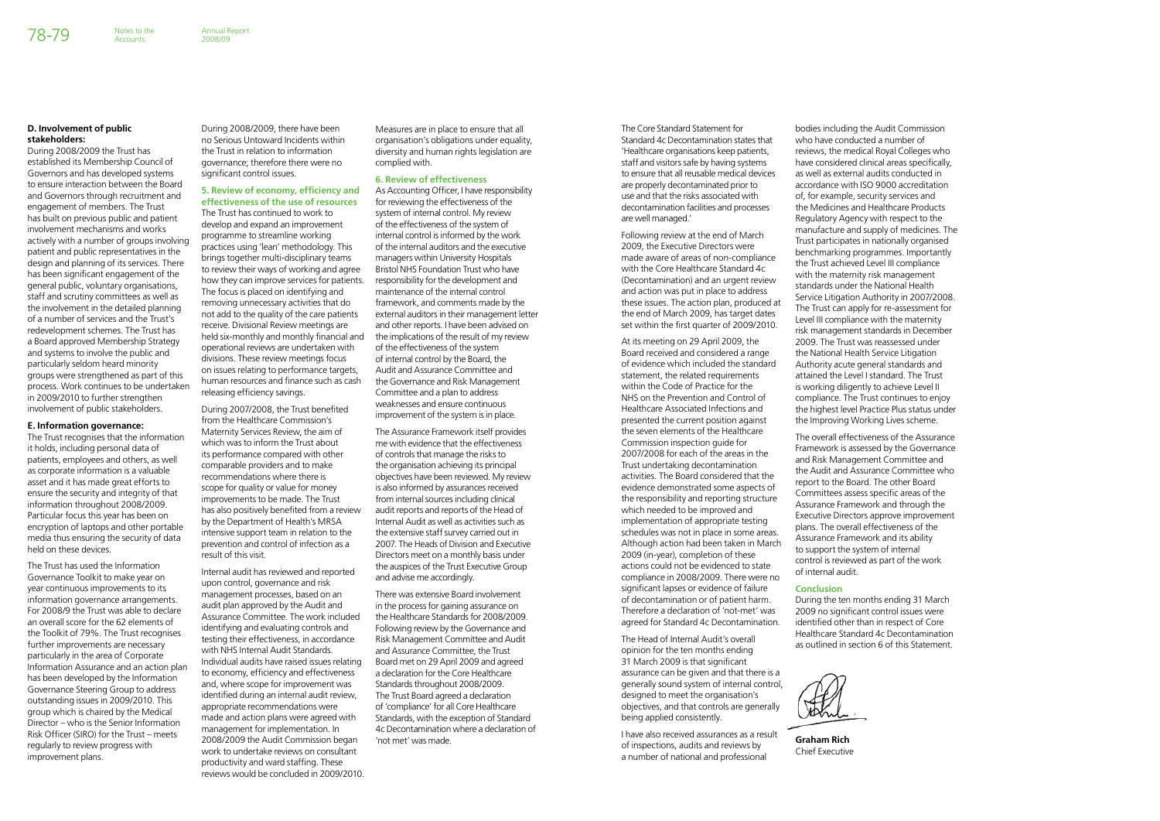The Core Standard Statement for Standard 4c Decontamination states that 'Healthcare organisations keep patients, staff and visitors safe by having systems to ensure that all reusable medical devices are properly decontaminated prior to use and that the risks associated with decontamination facilities and processes are well managed.'

Following review at the end of March 2009, the Executive Directors were made aware of areas of non-compliance with the Core Healthcare Standard 4c (Decontamination) and an urgent review and action was put in place to address these issues. The action plan, produced at the end of March 2009, has target dates set within the first quarter of 2009/2010.

At its meeting on 29 April 2009, the Board received and considered a range of evidence which included the standard statement, the related requirements within the Code of Practice for the NHS on the Prevention and Control of Healthcare Associated Infections and presented the current position against the seven elements of the Healthcare Commission inspection guide for 2007/2008 for each of the areas in the Trust undertaking decontamination activities. The Board considered that the evidence demonstrated some aspects of the responsibility and reporting structure which needed to be improved and implementation of appropriate testing schedules was not in place in some areas. Although action had been taken in March 2009 (in-year), completion of these actions could not be evidenced to state compliance in 2008/2009. There were no significant lapses or evidence of failure of decontamination or of patient harm. Therefore a declaration of 'not-met' was agreed for Standard 4c Decontamination.

The Head of Internal Audit's overall opinion for the ten months ending 31 March 2009 is that significant assurance can be given and that there is a generally sound system of internal control, designed to meet the organisation's objectives, and that controls are generally being applied consistently.

I have also received assurances as a result of inspections, audits and reviews by a number of national and professional

bodies including the Audit Commission who have conducted a number of reviews, the medical Royal Colleges who have considered clinical areas specifically, as well as external audits conducted in accordance with ISO 9000 accreditation of, for example, security services and the Medicines and Healthcare Products Regulatory Agency with respect to the manufacture and supply of medicines. The Trust participates in nationally organised benchmarking programmes. Importantly the Trust achieved Level III compliance with the maternity risk management standards under the National Health Service Litigation Authority in 2007/2008. The Trust can apply for re-assessment for Level III compliance with the maternity risk management standards in December 2009. The Trust was reassessed under the National Health Service Litigation Authority acute general standards and attained the Level I standard. The Trust is working diligently to achieve Level II compliance. The Trust continues to enjoy the highest level Practice Plus status under the Improving Working Lives scheme.

The overall effectiveness of the Assurance Framework is assessed by the Governance and Risk Management Committee and the Audit and Assurance Committee who report to the Board. The other Board Committees assess specific areas of the Assurance Framework and through the Executive Directors approve improvement plans. The overall effectiveness of the Assurance Framework and its ability to support the system of internal control is reviewed as part of the work of internal audit.

#### **Conclusion**

During the ten months ending 31 March 2009 no significant control issues were identified other than in respect of Core Healthcare Standard 4c Decontamination as outlined in section 6 of this Statement.



**Graham Rich** Chief Executive

#### **D. Involvement of public stakeholders:**

During 2008/2009 the Trust has established its Membership Council of Governors and has developed systems to ensure interaction between the Board and Governors through recruitment and engagement of members. The Trust has built on previous public and patient involvement mechanisms and works actively with a number of groups involving patient and public representatives in the design and planning of its services. There has been significant engagement of the general public, voluntary organisations, staff and scrutiny committees as well as the involvement in the detailed planning of a number of services and the Trust's redevelopment schemes. The Trust has a Board approved Membership Strategy and systems to involve the public and particularly seldom heard minority groups were strengthened as part of this process. Work continues to be undertaken in 2009/2010 to further strengthen involvement of public stakeholders.

**Accounts** 

#### **E. Information governance:**

The Trust recognises that the information it holds, including personal data of patients, employees and others, as well as corporate information is a valuable asset and it has made great efforts to ensure the security and integrity of that information throughout 2008/2009. Particular focus this year has been on encryption of laptops and other portable media thus ensuring the security of data held on these devices.

The Trust has used the Information Governance Toolkit to make year on year continuous improvements to its information governance arrangements. For 2008/9 the Trust was able to declare an overall score for the 62 elements of the Toolkit of 79%. The Trust recognises further improvements are necessary particularly in the area of Corporate Information Assurance and an action plan has been developed by the Information Governance Steering Group to address outstanding issues in 2009/2010. This group which is chaired by the Medical Director – who is the Senior Information Risk Officer (SIRO) for the Trust – meets regularly to review progress with improvement plans.

During 2008/2009, there have been no Serious Untoward Incidents within the Trust in relation to information governance; therefore there were no significant control issues.

# **5. Review of economy, efficiency and**

**effectiveness of the use of resources** The Trust has continued to work to develop and expand an improvement programme to streamline working practices using 'lean' methodology. This brings together multi-disciplinary teams to review their ways of working and agree how they can improve services for patients. The focus is placed on identifying and removing unnecessary activities that do not add to the quality of the care patients receive. Divisional Review meetings are held six-monthly and monthly financial and operational reviews are undertaken with divisions. These review meetings focus on issues relating to performance targets, human resources and finance such as cash releasing efficiency savings.

During 2007/2008, the Trust benefited from the Healthcare Commission's Maternity Services Review, the aim of which was to inform the Trust about its performance compared with other comparable providers and to make recommendations where there is scope for quality or value for money improvements to be made. The Trust has also positively benefited from a review by the Department of Health's MRSA intensive support team in relation to the prevention and control of infection as a result of this visit.

Internal audit has reviewed and reported upon control, governance and risk management processes, based on an audit plan approved by the Audit and Assurance Committee. The work included identifying and evaluating controls and testing their effectiveness, in accordance with NHS Internal Audit Standards. Individual audits have raised issues relating to economy, efficiency and effectiveness and, where scope for improvement was identified during an internal audit review, appropriate recommendations were made and action plans were agreed with management for implementation. In 2008/2009 the Audit Commission began work to undertake reviews on consultant productivity and ward staffing. These reviews would be concluded in 2009/2010.

Measures are in place to ensure that all organisation's obligations under equality, diversity and human rights legislation are complied with.

#### **6. Review of effectiveness**

As Accounting Officer, I have responsibility for reviewing the effectiveness of the system of internal control. My review of the effectiveness of the system of internal control is informed by the work of the internal auditors and the executive managers within University Hospitals Bristol NHS Foundation Trust who have responsibility for the development and maintenance of the internal control framework, and comments made by the external auditors in their management letter and other reports. I have been advised on the implications of the result of my review of the effectiveness of the system of internal control by the Board, the Audit and Assurance Committee and the Governance and Risk Management Committee and a plan to address weaknesses and ensure continuous improvement of the system is in place.

The Assurance Framework itself provides me with evidence that the effectiveness of controls that manage the risks to the organisation achieving its principal objectives have been reviewed. My review is also informed by assurances received from internal sources including clinical audit reports and reports of the Head of Internal Audit as well as activities such as the extensive staff survey carried out in 2007. The Heads of Division and Executive Directors meet on a monthly basis under the auspices of the Trust Executive Group and advise me accordingly.

There was extensive Board involvement in the process for gaining assurance on the Healthcare Standards for 2008/2009. Following review by the Governance and Risk Management Committee and Audit and Assurance Committee, the Trust Board met on 29 April 2009 and agreed a declaration for the Core Healthcare Standards throughout 2008/2009. The Trust Board agreed a declaration of 'compliance' for all Core Healthcare Standards, with the exception of Standard 4c Decontamination where a declaration of 'not met' was made.